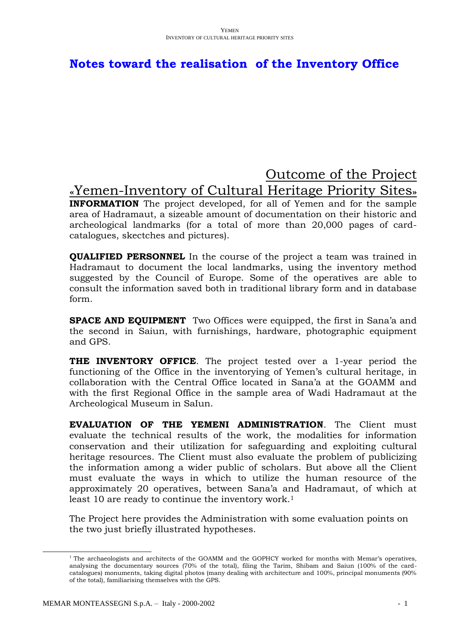## **Notes toward the realisation of the Inventory Office**

## Outcome of the Project **«**Yemen-Inventory of Cultural Heritage Priority Sites**» INFORMATION** The project developed, for all of Yemen and for the sample area of Hadramaut, a sizeable amount of documentation on their historic and archeological landmarks (for a total of more than 20,000 pages of cardcatalogues, skectches and pictures).

**QUALIFIED PERSONNEL** In the course of the project a team was trained in Hadramaut to document the local landmarks, using the inventory method suggested by the Council of Europe. Some of the operatives are able to consult the information saved both in traditional library form and in database form.

**SPACE AND EQUIPMENT** Two Offices were equipped, the first in Sana'a and the second in Saiun, with furnishings, hardware, photographic equipment and GPS.

**THE INVENTORY OFFICE**. The project tested over a 1-year period the functioning of the Office in the inventorying of Yemen's cultural heritage, in collaboration with the Central Office located in Sana'a at the GOAMM and with the first Regional Office in the sample area of Wadi Hadramaut at the Archeological Museum in SaIun.

**EVALUATION OF THE YEMENI ADMINISTRATION**. The Client must evaluate the technical results of the work, the modalities for information conservation and their utilization for safeguarding and exploiting cultural heritage resources. The Client must also evaluate the problem of publicizing the information among a wider public of scholars. But above all the Client must evaluate the ways in which to utilize the human resource of the approximately 20 operatives, between Sana'a and Hadramaut, of which at least 10 are ready to continue the inventory work.<sup>1</sup>

The Project here provides the Administration with some evaluation points on the two just briefly illustrated hypotheses.

-

<sup>&</sup>lt;sup>1</sup> The archaeologists and architects of the GOAMM and the GOPHCY worked for months with Memar's operatives, analysing the documentary sources (70% of the total), filing the Tarim, Shibam and Saiun (100% of the cardcatalogues) monuments, taking digital photos (many dealing with architecture and 100%, principal monuments (90% of the total), familiarising themselves with the GPS.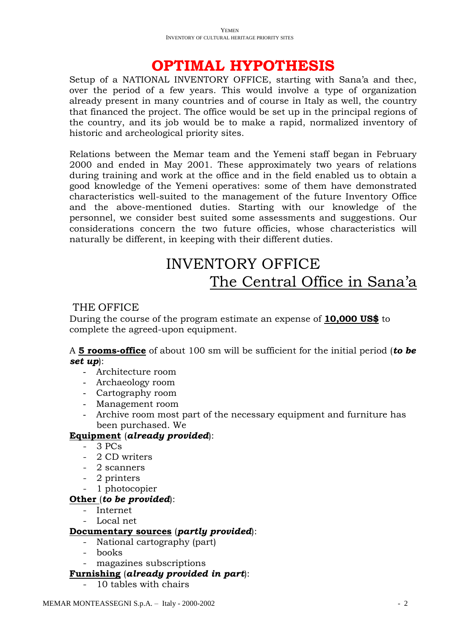# **OPTIMAL HYPOTHESIS**

Setup of a NATIONAL INVENTORY OFFICE, starting with Sana'a and thec, over the period of a few years. This would involve a type of organization already present in many countries and of course in Italy as well, the country that financed the project. The office would be set up in the principal regions of the country, and its job would be to make a rapid, normalized inventory of historic and archeological priority sites.

Relations between the Memar team and the Yemeni staff began in February 2000 and ended in May 2001. These approximately two years of relations during training and work at the office and in the field enabled us to obtain a good knowledge of the Yemeni operatives: some of them have demonstrated characteristics well-suited to the management of the future Inventory Office and the above-mentioned duties. Starting with our knowledge of the personnel, we consider best suited some assessments and suggestions. Our considerations concern the two future officies, whose characteristics will naturally be different, in keeping with their different duties.

# INVENTORY OFFICE The Central Office in Sana'a

## THE OFFICE

During the course of the program estimate an expense of **10,000 US\$** to complete the agreed-upon equipment.

A **5 rooms-office** of about 100 sm will be sufficient for the initial period (*to be set up*):

- Architecture room
- Archaeology room
- Cartography room
- Management room
- Archive room most part of the necessary equipment and furniture has been purchased. We

## **Equipment** (*already provided*):

- 3 PCs
- 2 CD writers
- 2 scanners
- 2 printers
- 1 photocopier

## **Other** (*to be provided*):

- Internet
- Local net

## **Documentary sources** (*partly provided*):

- National cartography (part)
- books
- magazines subscriptions

## **Furnishing** (*already provided in part*):

- 10 tables with chairs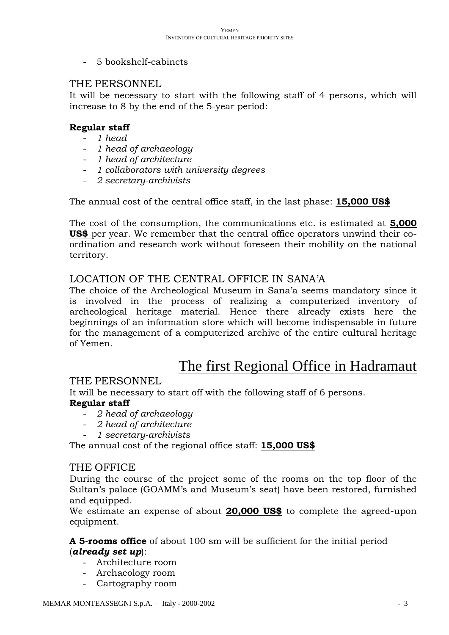- 5 bookshelf-cabinets

## THE PERSONNEL

It will be necessary to start with the following staff of 4 persons, which will increase to 8 by the end of the 5-year period:

## **Regular staff**

- *1 head*
- *1 head of archaeology*
- *1 head of architecture*
- *1 collaborators with university degrees*
- *2 secretary-archivists*

The annual cost of the central office staff, in the last phase: **15,000 US\$**

The cost of the consumption, the communications etc. is estimated at **5,000 US\$** per year. We remember that the central office operators unwind their coordination and research work without foreseen their mobility on the national territory.

## LOCATION OF THE CENTRAL OFFICE IN SANA'A

The choice of the Archeological Museum in Sana'a seems mandatory since it is involved in the process of realizing a computerized inventory of archeological heritage material. Hence there already exists here the beginnings of an information store which will become indispensable in future for the management of a computerized archive of the entire cultural heritage of Yemen.

# The first Regional Office in Hadramaut

## THE PERSONNEL

It will be necessary to start off with the following staff of 6 persons.

## **Regular staff**

- *2 head of archaeology*
- *2 head of architecture*
- *1 secretary-archivists*

The annual cost of the regional office staff: **15,000 US\$**

## THE OFFICE

During the course of the project some of the rooms on the top floor of the Sultan's palace (GOAMM's and Museum's seat) have been restored, furnished and equipped.

We estimate an expense of about **20,000 US\$** to complete the agreed-upon equipment.

**A 5-rooms office** of about 100 sm will be sufficient for the initial period (*already set up*):

- Architecture room
- Archaeology room
- Cartography room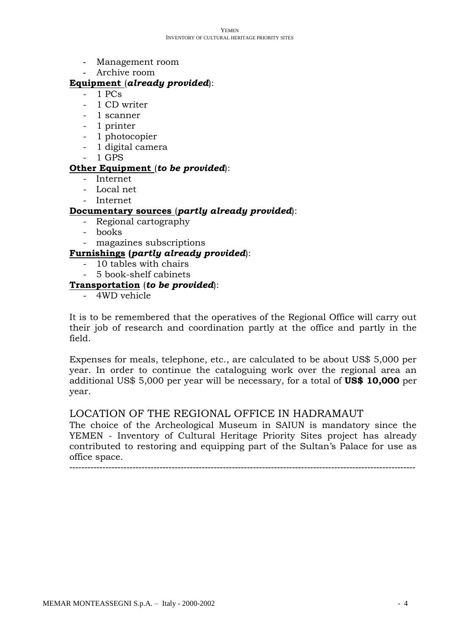- Management room
- Archive room

## **Equipment** (*already provided*):

- 1 PCs
- 1 CD writer
- 1 scanner
- 1 printer
- 1 photocopier
- 1 digital camera
- 1 GPS

## **Other Equipment** (*to be provided*):

- Internet
- Local net
- Internet

## **Documentary sources** (*partly already provided*):

- Regional cartography
- books
- magazines subscriptions

## **Furnishings (***partly already provided*):

- 10 tables with chairs
- 5 book-shelf cabinets

## **Transportation** (*to be provided*):

- 4WD vehicle

It is to be remembered that the operatives of the Regional Office will carry out their job of research and coordination partly at the office and partly in the field.

Expenses for meals, telephone, etc., are calculated to be about US\$ 5,000 per year. In order to continue the cataloguing work over the regional area an additional US\$ 5,000 per year will be necessary, for a total of **US\$ 10,000** per year.

## LOCATION OF THE REGIONAL OFFICE IN HADRAMAUT

The choice of the Archeological Museum in SAIUN is mandatory since the YEMEN - Inventory of Cultural Heritage Priority Sites project has already contributed to restoring and equipping part of the Sultan's Palace for use as office space.

-------------------------------------------------------------------------------------------------------------------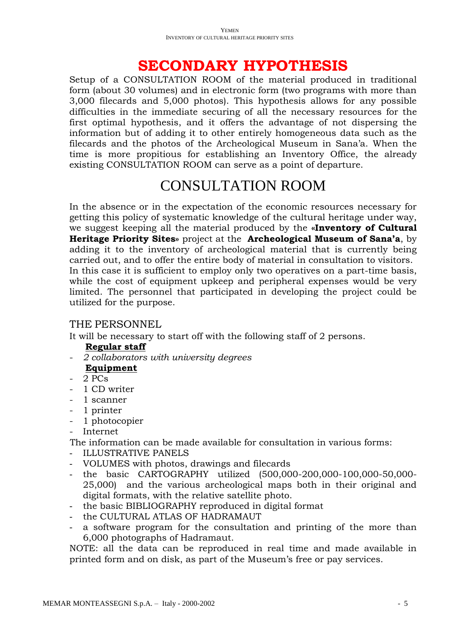# **SECONDARY HYPOTHESIS**

Setup of a CONSULTATION ROOM of the material produced in traditional form (about 30 volumes) and in electronic form (two programs with more than 3,000 filecards and 5,000 photos). This hypothesis allows for any possible difficulties in the immediate securing of all the necessary resources for the first optimal hypothesis, and it offers the advantage of not dispersing the information but of adding it to other entirely homogeneous data such as the filecards and the photos of the Archeological Museum in Sana'a. When the time is more propitious for establishing an Inventory Office, the already existing CONSULTATION ROOM can serve as a point of departure.

## CONSULTATION ROOM

In the absence or in the expectation of the economic resources necessary for getting this policy of systematic knowledge of the cultural heritage under way, we suggest keeping all the material produced by the **«Inventory of Cultural Heritage Priority Sites»** project at the **Archeological Museum of Sana'a**, by adding it to the inventory of archeological material that is currently being carried out, and to offer the entire body of material in consultation to visitors. In this case it is sufficient to employ only two operatives on a part-time basis, while the cost of equipment upkeep and peripheral expenses would be very limited. The personnel that participated in developing the project could be utilized for the purpose.

## THE PERSONNEL

It will be necessary to start off with the following staff of 2 persons.

- **Regular staff**
- *2 collaborators with university degrees*
- **Equipment**
- $-2$  PCs
- 1 CD writer
- 1 scanner
- 1 printer
- 1 photocopier
- Internet

The information can be made available for consultation in various forms:

- ILLUSTRATIVE PANELS
- VOLUMES with photos, drawings and filecards
- the basic CARTOGRAPHY utilized (500,000-200,000-100,000-50,000-25,000) and the various archeological maps both in their original and digital formats, with the relative satellite photo.
- the basic BIBLIOGRAPHY reproduced in digital format
- the CULTURAL ATLAS OF HADRAMAUT
- a software program for the consultation and printing of the more than 6,000 photographs of Hadramaut.

NOTE: all the data can be reproduced in real time and made available in printed form and on disk, as part of the Museum's free or pay services.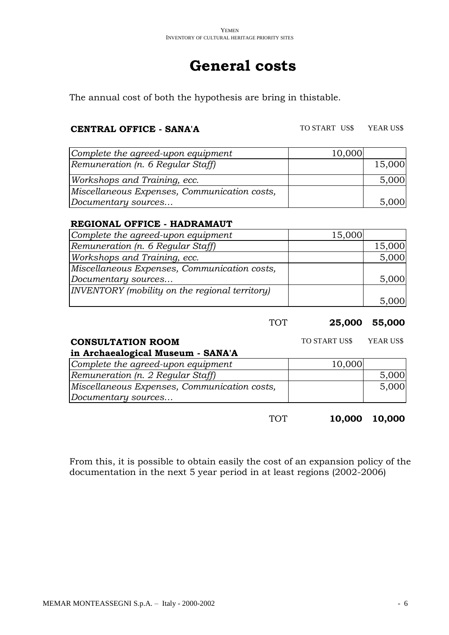# **General costs**

The annual cost of both the hypothesis are bring in thistable.

## **CENTRAL OFFICE - SANA'A** TO START US\$ YEAR US\$

| Complete the agreed-upon equipment           | 10,000 |        |
|----------------------------------------------|--------|--------|
| Remuneration (n. 6 Regular Staff)            |        | 15,000 |
| Workshops and Training, ecc.                 |        | 5,000  |
| Miscellaneous Expenses, Communication costs, |        |        |
| Documentary sources                          |        | 5,000  |

## **REGIONAL OFFICE - HADRAMAUT**

| Complete the agreed-upon equipment             | 15,000 |        |
|------------------------------------------------|--------|--------|
| Remuneration (n. 6 Regular Staff)              |        | 15,000 |
| Workshops and Training, ecc.                   |        | 5,000  |
| Miscellaneous Expenses, Communication costs,   |        |        |
| Documentary sources                            |        | 5,000  |
| INVENTORY (mobility on the regional territory) |        |        |
|                                                |        | 5,000  |

|                                              | <b>TOT</b> | 25,000        | 55,000           |
|----------------------------------------------|------------|---------------|------------------|
| <b>CONSULTATION ROOM</b>                     |            | TO START US\$ | <b>YEAR US\$</b> |
| in Archaealogical Museum - SANA'A            |            |               |                  |
| Complete the agreed-upon equipment           |            | 10,000        |                  |
| Remuneration (n. 2 Regular Staff)            |            |               | 5,000            |
| Miscellaneous Expenses, Communication costs, |            |               | 5,000            |
| Documentary sources                          |            |               |                  |

TOT **10,000 10,000** 

From this, it is possible to obtain easily the cost of an expansion policy of the documentation in the next 5 year period in at least regions (2002-2006)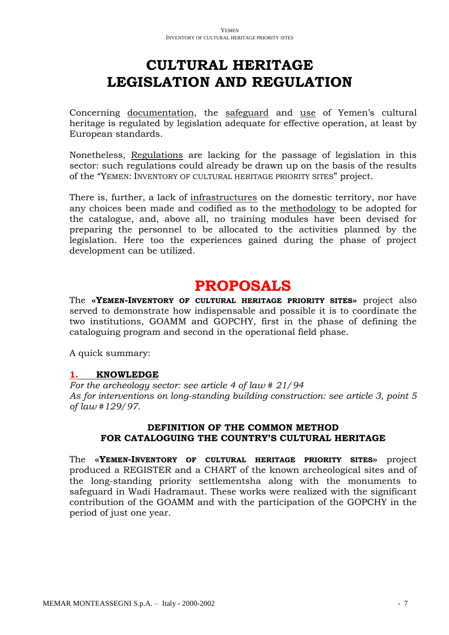# **CULTURAL HERITAGE LEGISLATION AND REGULATION**

Concerning documentation, the safeguard and use of Yemen's cultural heritage is regulated by legislation adequate for effective operation, at least by European standards.

Nonetheless, Regulations are lacking for the passage of legislation in this sector: such regulations could already be drawn up on the basis of the results of the "YEMEN: INVENTORY OF CULTURAL HERITAGE PRIORITY SITES" project.

There is, further, a lack of infrastructures on the domestic territory, nor have any choices been made and codified as to the methodology to be adopted for the catalogue, and, above all, no training modules have been devised for preparing the personnel to be allocated to the activities planned by the legislation. Here too the experiences gained during the phase of project development can be utilized.

# **PROPOSALS**

The **«YEMEN-INVENTORY OF CULTURAL HERITAGE PRIORITY SITES»** project also served to demonstrate how indispensable and possible it is to coordinate the two institutions, GOAMM and GOPCHY, first in the phase of defining the cataloguing program and second in the operational field phase.

A quick summary:

## **1. KNOWLEDGE**

*For the archeology sector: see article 4 of law # 21/94 As for interventions on long-standing building construction: see article 3, point 5 of law #129/97.* 

## **DEFINITION OF THE COMMON METHOD FOR CATALOGUING THE COUNTRY'S CULTURAL HERITAGE**

The **«YEMEN-INVENTORY OF CULTURAL HERITAGE PRIORITY SITES»** project produced a REGISTER and a CHART of the known archeological sites and of the long-standing priority settlementsha along with the monuments to safeguard in Wadi Hadramaut. These works were realized with the significant contribution of the GOAMM and with the participation of the GOPCHY in the period of just one year.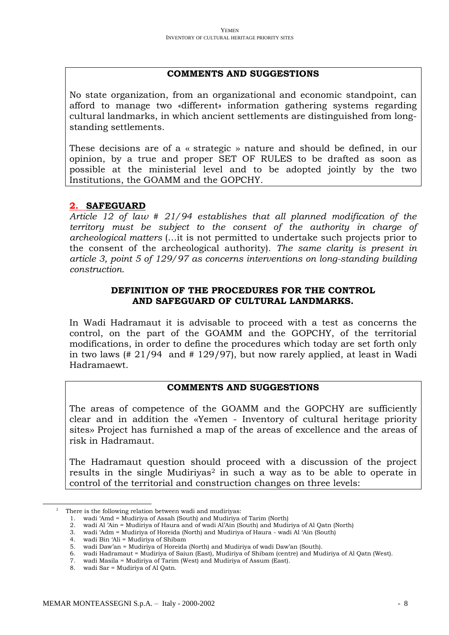## **COMMENTS AND SUGGESTIONS**

No state organization, from an organizational and economic standpoint, can afford to manage two «different» information gathering systems regarding cultural landmarks, in which ancient settlements are distinguished from longstanding settlements.

These decisions are of a « strategic » nature and should be defined, in our opinion, by a true and proper SET OF RULES to be drafted as soon as possible at the ministerial level and to be adopted jointly by the two Institutions, the GOAMM and the GOPCHY.

## **2. SAFEGUARD**

*Article 12 of law # 21/94 establishes that all planned modification of the territory must be subject to the consent of the authority in charge of archeological matters* (…it is not permitted to undertake such projects prior to the consent of the archeological authority). *The same clarity is present in article 3, point 5 of 129/97 as concerns interventions on long-standing building construction.*

## **DEFINITION OF THE PROCEDURES FOR THE CONTROL AND SAFEGUARD OF CULTURAL LANDMARKS.**

In Wadi Hadramaut it is advisable to proceed with a test as concerns the control, on the part of the GOAMM and the GOPCHY, of the territorial modifications, in order to define the procedures which today are set forth only in two laws (# 21/94 and # 129/97), but now rarely applied, at least in Wadi Hadramaewt.

## **COMMENTS AND SUGGESTIONS**

The areas of competence of the GOAMM and the GOPCHY are sufficiently clear and in addition the «Yemen - Inventory of cultural heritage priority sites» Project has furnished a map of the areas of excellence and the areas of risk in Hadramaut.

The Hadramaut question should proceed with a discussion of the project results in the single Mudiriyas<sup>2</sup> in such a way as to be able to operate in control of the territorial and construction changes on three levels:

-2

There is the following relation between wadi and mudiriyas:

<sup>1.</sup> wadi 'Amd = Mudiriya of Assah (South) and Mudiriya of Tarim (North)

<sup>2.</sup> wadi Al 'Ain = Mudiriya of Haura and of wadi Al'Ain (South) and Mudiriya of Al Qatn (North)

<sup>3.</sup> wadi 'Adm = Mudiriya of Horeida (North) and Mudiriya of Haura - wadi Al 'Ain (South)

<sup>4.</sup> wadi Bin 'Ali = Mudiriya of Shibam

<sup>5.</sup> wadi Daw'an = Mudiriya of Horeida (North) and Mudiriya of wadi Daw'an (South).

<sup>6.</sup> wadi Hadramaut = Mudiriya of Saiun (East), Mudiriya of Shibam (centre) and Mudiriya of Al Qatn (West).

<sup>7.</sup> wadi Masila = Mudiriya of Tarim (West) and Mudiriya of Assum (East).

<sup>8.</sup> wadi Sar = Mudiriya of Al Qatn.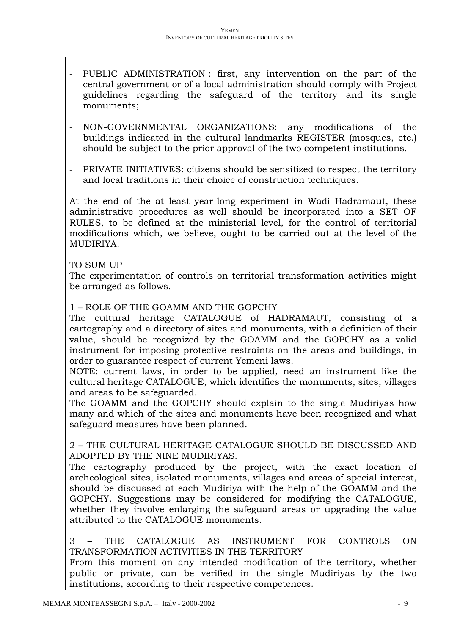- PUBLIC ADMINISTRATION : first, any intervention on the part of the central government or of a local administration should comply with Project guidelines regarding the safeguard of the territory and its single monuments;
- NON-GOVERNMENTAL ORGANIZATIONS: any modifications of the buildings indicated in the cultural landmarks REGISTER (mosques, etc.) should be subject to the prior approval of the two competent institutions.
- PRIVATE INITIATIVES: citizens should be sensitized to respect the territory and local traditions in their choice of construction techniques.

At the end of the at least year-long experiment in Wadi Hadramaut, these administrative procedures as well should be incorporated into a SET OF RULES, to be defined at the ministerial level, for the control of territorial modifications which, we believe, ought to be carried out at the level of the MUDIRIYA.

## TO SUM UP

The experimentation of controls on territorial transformation activities might be arranged as follows.

1 – ROLE OF THE GOAMM AND THE GOPCHY

The cultural heritage CATALOGUE of HADRAMAUT, consisting of a cartography and a directory of sites and monuments, with a definition of their value, should be recognized by the GOAMM and the GOPCHY as a valid instrument for imposing protective restraints on the areas and buildings, in order to guarantee respect of current Yemeni laws.

NOTE: current laws, in order to be applied, need an instrument like the cultural heritage CATALOGUE, which identifies the monuments, sites, villages and areas to be safeguarded.

The GOAMM and the GOPCHY should explain to the single Mudiriyas how many and which of the sites and monuments have been recognized and what safeguard measures have been planned.

2 – THE CULTURAL HERITAGE CATALOGUE SHOULD BE DISCUSSED AND ADOPTED BY THE NINE MUDIRIYAS.

The cartography produced by the project, with the exact location of archeological sites, isolated monuments, villages and areas of special interest, should be discussed at each Mudiriya with the help of the GOAMM and the GOPCHY. Suggestions may be considered for modifying the CATALOGUE, whether they involve enlarging the safeguard areas or upgrading the value attributed to the CATALOGUE monuments.

3 – THE CATALOGUE AS INSTRUMENT FOR CONTROLS ON TRANSFORMATION ACTIVITIES IN THE TERRITORY

From this moment on any intended modification of the territory, whether public or private, can be verified in the single Mudiriyas by the two institutions, according to their respective competences.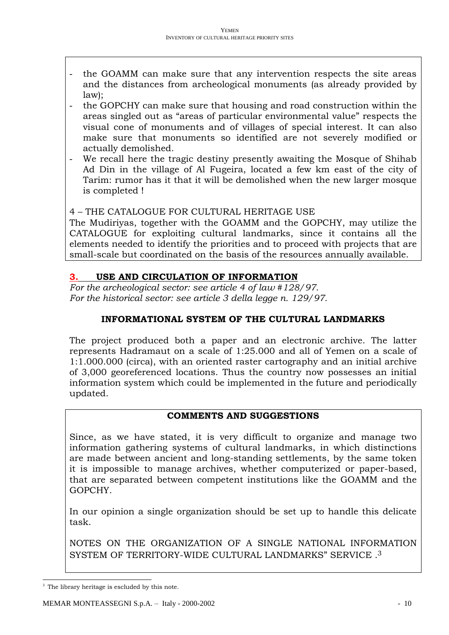- the GOAMM can make sure that any intervention respects the site areas and the distances from archeological monuments (as already provided by law);
- the GOPCHY can make sure that housing and road construction within the areas singled out as "areas of particular environmental value" respects the visual cone of monuments and of villages of special interest. It can also make sure that monuments so identified are not severely modified or actually demolished.
- We recall here the tragic destiny presently awaiting the Mosque of Shihab Ad Din in the village of Al Fugeira, located a few km east of the city of Tarim: rumor has it that it will be demolished when the new larger mosque is completed !

## 4 – THE CATALOGUE FOR CULTURAL HERITAGE USE

The Mudiriyas, together with the GOAMM and the GOPCHY, may utilize the CATALOGUE for exploiting cultural landmarks, since it contains all the elements needed to identify the priorities and to proceed with projects that are small-scale but coordinated on the basis of the resources annually available.

## **3. USE AND CIRCULATION OF INFORMATION**

*For the archeological sector: see article 4 of law #128/97. For the historical sector: see article 3 della legge n. 129/97.*

## **INFORMATIONAL SYSTEM OF THE CULTURAL LANDMARKS**

The project produced both a paper and an electronic archive. The latter represents Hadramaut on a scale of 1:25.000 and all of Yemen on a scale of 1:1.000.000 (circa), with an oriented raster cartography and an initial archive of 3,000 georeferenced locations. Thus the country now possesses an initial information system which could be implemented in the future and periodically updated.

## **COMMENTS AND SUGGESTIONS**

Since, as we have stated, it is very difficult to organize and manage two information gathering systems of cultural landmarks, in which distinctions are made between ancient and long-standing settlements, by the same token it is impossible to manage archives, whether computerized or paper-based, that are separated between competent institutions like the GOAMM and the GOPCHY.

In our opinion a single organization should be set up to handle this delicate task.

NOTES ON THE ORGANIZATION OF A SINGLE NATIONAL INFORMATION SYSTEM OF TERRITORY-WIDE CULTURAL LANDMARKS" SERVICE .<sup>3</sup>

<sup>-</sup> $3$  The library heritage is escluded by this note.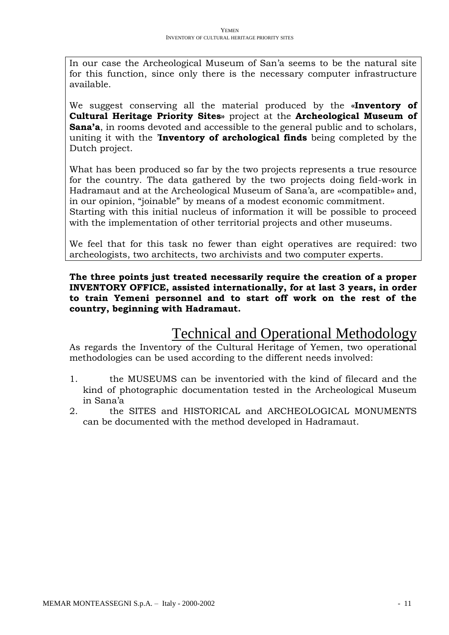In our case the Archeological Museum of San'a seems to be the natural site for this function, since only there is the necessary computer infrastructure available.

We suggest conserving all the material produced by the **«Inventory of Cultural Heritage Priority Sites»** project at the **Archeological Museum of Sana'a**, in rooms devoted and accessible to the general public and to scholars, uniting it with the '**Inventory of archological finds** being completed by the Dutch project.

What has been produced so far by the two projects represents a true resource for the country. The data gathered by the two projects doing field-work in Hadramaut and at the Archeological Museum of Sana'a, are «compatible» and, in our opinion, "joinable" by means of a modest economic commitment. Starting with this initial nucleus of information it will be possible to proceed with the implementation of other territorial projects and other museums.

We feel that for this task no fewer than eight operatives are required: two archeologists, two architects, two archivists and two computer experts.

**The three points just treated necessarily require the creation of a proper INVENTORY OFFICE, assisted internationally, for at last 3 years, in order to train Yemeni personnel and to start off work on the rest of the country, beginning with Hadramaut.**

# Technical and Operational Methodology

As regards the Inventory of the Cultural Heritage of Yemen, two operational methodologies can be used according to the different needs involved:

- 1. the MUSEUMS can be inventoried with the kind of filecard and the kind of photographic documentation tested in the Archeological Museum in Sana'a
- 2. the SITES and HISTORICAL and ARCHEOLOGICAL MONUMENTS can be documented with the method developed in Hadramaut.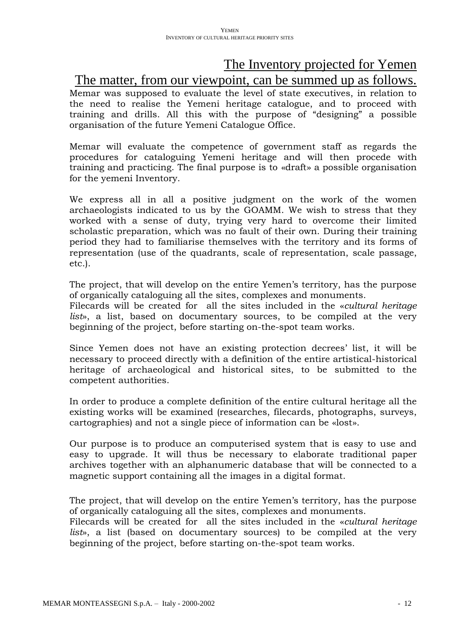# The Inventory projected for Yemen

## The matter, from our viewpoint, can be summed up as follows.

Memar was supposed to evaluate the level of state executives, in relation to the need to realise the Yemeni heritage catalogue, and to proceed with training and drills. All this with the purpose of "designing" a possible organisation of the future Yemeni Catalogue Office.

Memar will evaluate the competence of government staff as regards the procedures for cataloguing Yemeni heritage and will then procede with training and practicing. The final purpose is to «draft» a possible organisation for the yemeni Inventory.

We express all in all a positive judgment on the work of the women archaeologists indicated to us by the GOAMM. We wish to stress that they worked with a sense of duty, trying very hard to overcome their limited scholastic preparation, which was no fault of their own. During their training period they had to familiarise themselves with the territory and its forms of representation (use of the quadrants, scale of representation, scale passage, etc.).

The project, that will develop on the entire Yemen's territory, has the purpose of organically cataloguing all the sites, complexes and monuments.

Filecards will be created for all the sites included in the «*cultural heritage list*», a list, based on documentary sources, to be compiled at the very beginning of the project, before starting on-the-spot team works.

Since Yemen does not have an existing protection decrees' list, it will be necessary to proceed directly with a definition of the entire artistical-historical heritage of archaeological and historical sites, to be submitted to the competent authorities.

In order to produce a complete definition of the entire cultural heritage all the existing works will be examined (researches, filecards, photographs, surveys, cartographies) and not a single piece of information can be «lost».

Our purpose is to produce an computerised system that is easy to use and easy to upgrade. It will thus be necessary to elaborate traditional paper archives together with an alphanumeric database that will be connected to a magnetic support containing all the images in a digital format.

The project, that will develop on the entire Yemen's territory, has the purpose of organically cataloguing all the sites, complexes and monuments.

Filecards will be created for all the sites included in the «*cultural heritage list*», a list (based on documentary sources) to be compiled at the very beginning of the project, before starting on-the-spot team works.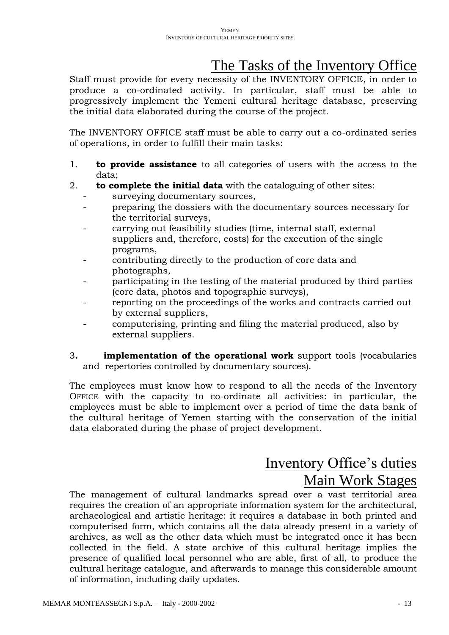# The Tasks of the Inventory Office

Staff must provide for every necessity of the INVENTORY OFFICE, in order to produce a co-ordinated activity. In particular, staff must be able to progressively implement the Yemeni cultural heritage database, preserving the initial data elaborated during the course of the project.

The INVENTORY OFFICE staff must be able to carry out a co-ordinated series of operations, in order to fulfill their main tasks:

- 1. **to provide assistance** to all categories of users with the access to the data;
- 2. **to complete the initial data** with the cataloguing of other sites:
	- surveying documentary sources,
	- preparing the dossiers with the documentary sources necessary for the territorial surveys,
	- carrying out feasibility studies (time, internal staff, external suppliers and, therefore, costs) for the execution of the single programs,
	- contributing directly to the production of core data and photographs,
	- participating in the testing of the material produced by third parties (core data, photos and topographic surveys),
	- reporting on the proceedings of the works and contracts carried out by external suppliers,
	- computerising, printing and filing the material produced, also by external suppliers.
- 3**. implementation of the operational work** support tools (vocabularies and repertories controlled by documentary sources).

The employees must know how to respond to all the needs of the Inventory OFFICE with the capacity to co-ordinate all activities: in particular, the employees must be able to implement over a period of time the data bank of the cultural heritage of Yemen starting with the conservation of the initial data elaborated during the phase of project development.

# Inventory Office's duties Main Work Stages

The management of cultural landmarks spread over a vast territorial area requires the creation of an appropriate information system for the architectural, archaeological and artistic heritage: it requires a database in both printed and computerised form, which contains all the data already present in a variety of archives, as well as the other data which must be integrated once it has been collected in the field. A state archive of this cultural heritage implies the presence of qualified local personnel who are able, first of all, to produce the cultural heritage catalogue, and afterwards to manage this considerable amount of information, including daily updates.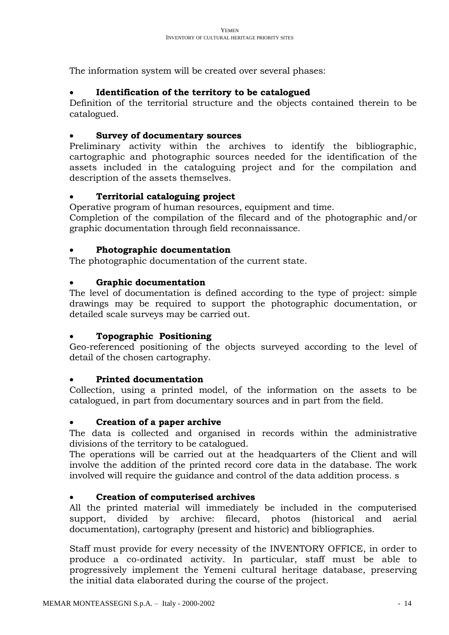The information system will be created over several phases:

## **Identification of the territory to be catalogued**

Definition of the territorial structure and the objects contained therein to be catalogued.

## **Survey of documentary sources**

Preliminary activity within the archives to identify the bibliographic, cartographic and photographic sources needed for the identification of the assets included in the cataloguing project and for the compilation and description of the assets themselves.

## **Territorial cataloguing project**

Operative program of human resources, equipment and time.

Completion of the compilation of the filecard and of the photographic and/or graphic documentation through field reconnaissance.

## **Photographic documentation**

The photographic documentation of the current state.

## **Graphic documentation**

The level of documentation is defined according to the type of project: simple drawings may be required to support the photographic documentation, or detailed scale surveys may be carried out.

## **Topographic Positioning**

Geo-referenced positioning of the objects surveyed according to the level of detail of the chosen cartography.

## **Printed documentation**

Collection, using a printed model, of the information on the assets to be catalogued, in part from documentary sources and in part from the field.

## **Creation of a paper archive**

The data is collected and organised in records within the administrative divisions of the territory to be catalogued.

The operations will be carried out at the headquarters of the Client and will involve the addition of the printed record core data in the database. The work involved will require the guidance and control of the data addition process. s

## **Creation of computerised archives**

All the printed material will immediately be included in the computerised support, divided by archive: filecard, photos (historical and aerial documentation), cartography (present and historic) and bibliographies.

Staff must provide for every necessity of the INVENTORY OFFICE, in order to produce a co-ordinated activity. In particular, staff must be able to progressively implement the Yemeni cultural heritage database, preserving the initial data elaborated during the course of the project.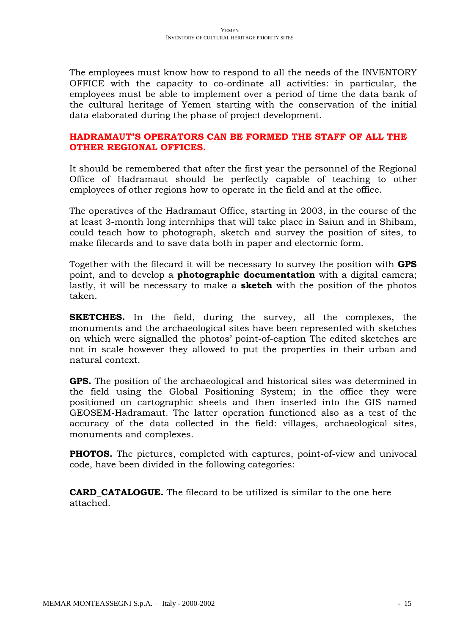The employees must know how to respond to all the needs of the INVENTORY OFFICE with the capacity to co-ordinate all activities: in particular, the employees must be able to implement over a period of time the data bank of the cultural heritage of Yemen starting with the conservation of the initial data elaborated during the phase of project development.

## **HADRAMAUT'S OPERATORS CAN BE FORMED THE STAFF OF ALL THE OTHER REGIONAL OFFICES.**

It should be remembered that after the first year the personnel of the Regional Office of Hadramaut should be perfectly capable of teaching to other employees of other regions how to operate in the field and at the office.

The operatives of the Hadramaut Office, starting in 2003, in the course of the at least 3-month long internhips that will take place in Saiun and in Shibam, could teach how to photograph, sketch and survey the position of sites, to make filecards and to save data both in paper and electornic form.

Together with the filecard it will be necessary to survey the position with **GPS**  point, and to develop a **photographic documentation** with a digital camera; lastly, it will be necessary to make a **sketch** with the position of the photos taken.

**SKETCHES.** In the field, during the survey, all the complexes, the monuments and the archaeological sites have been represented with sketches on which were signalled the photos' point-of-caption The edited sketches are not in scale however they allowed to put the properties in their urban and natural context.

**GPS.** The position of the archaeological and historical sites was determined in the field using the Global Positioning System; in the office they were positioned on cartographic sheets and then inserted into the GIS named GEOSEM-Hadramaut. The latter operation functioned also as a test of the accuracy of the data collected in the field: villages, archaeological sites, monuments and complexes.

**PHOTOS.** The pictures, completed with captures, point-of-view and univocal code, have been divided in the following categories:

**CARD CATALOGUE.** The filecard to be utilized is similar to the one here attached.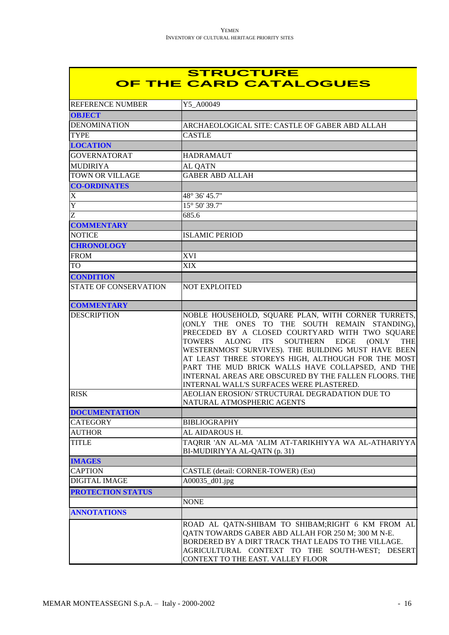## **STRUCTURE OF THE CARD CATALOGUES**

|                          | <u>UF INE CARD CAIALOGUES</u>                                                                                                                                                                                                                                                                                                                                                                                                                                                    |
|--------------------------|----------------------------------------------------------------------------------------------------------------------------------------------------------------------------------------------------------------------------------------------------------------------------------------------------------------------------------------------------------------------------------------------------------------------------------------------------------------------------------|
| <b>REFERENCE NUMBER</b>  | Y5 A00049                                                                                                                                                                                                                                                                                                                                                                                                                                                                        |
| <b>OBJECT</b>            |                                                                                                                                                                                                                                                                                                                                                                                                                                                                                  |
| <b>DENOMINATION</b>      | ARCHAEOLOGICAL SITE: CASTLE OF GABER ABD ALLAH                                                                                                                                                                                                                                                                                                                                                                                                                                   |
| <b>TYPE</b>              | <b>CASTLE</b>                                                                                                                                                                                                                                                                                                                                                                                                                                                                    |
| <b>LOCATION</b>          |                                                                                                                                                                                                                                                                                                                                                                                                                                                                                  |
| <b>GOVERNATORAT</b>      | <b>HADRAMAUT</b>                                                                                                                                                                                                                                                                                                                                                                                                                                                                 |
| <b>MUDIRIYA</b>          | <b>AL QATN</b>                                                                                                                                                                                                                                                                                                                                                                                                                                                                   |
| <b>TOWN OR VILLAGE</b>   | <b>GABER ABD ALLAH</b>                                                                                                                                                                                                                                                                                                                                                                                                                                                           |
| <b>CO-ORDINATES</b>      |                                                                                                                                                                                                                                                                                                                                                                                                                                                                                  |
| $\overline{\text{X}}$    | 48° 36' 45.7"                                                                                                                                                                                                                                                                                                                                                                                                                                                                    |
| Y                        | $15^{\circ} 50' 39.7''$                                                                                                                                                                                                                                                                                                                                                                                                                                                          |
| Z                        | 685.6                                                                                                                                                                                                                                                                                                                                                                                                                                                                            |
| <b>COMMENTARY</b>        |                                                                                                                                                                                                                                                                                                                                                                                                                                                                                  |
| <b>NOTICE</b>            | <b>ISLAMIC PERIOD</b>                                                                                                                                                                                                                                                                                                                                                                                                                                                            |
| <b>CHRONOLOGY</b>        |                                                                                                                                                                                                                                                                                                                                                                                                                                                                                  |
| <b>FROM</b>              | XVI                                                                                                                                                                                                                                                                                                                                                                                                                                                                              |
| TO                       | <b>XIX</b>                                                                                                                                                                                                                                                                                                                                                                                                                                                                       |
| <b>CONDITION</b>         |                                                                                                                                                                                                                                                                                                                                                                                                                                                                                  |
| STATE OF CONSERVATION    | <b>NOT EXPLOITED</b>                                                                                                                                                                                                                                                                                                                                                                                                                                                             |
| <b>COMMENTARY</b>        |                                                                                                                                                                                                                                                                                                                                                                                                                                                                                  |
| <b>DESCRIPTION</b>       | NOBLE HOUSEHOLD, SQUARE PLAN, WITH CORNER TURRETS,<br>(ONLY THE ONES TO THE SOUTH REMAIN STANDING),<br>PRECEDED BY A CLOSED COURTYARD WITH TWO SQUARE<br>TOWERS ALONG ITS SOUTHERN EDGE (ONLY<br><b>THE</b><br>WESTERNMOST SURVIVES). THE BUILDING MUST HAVE BEEN<br>AT LEAST THREE STOREYS HIGH, ALTHOUGH FOR THE MOST<br>PART THE MUD BRICK WALLS HAVE COLLAPSED, AND THE<br>INTERNAL AREAS ARE OBSCURED BY THE FALLEN FLOORS. THE<br>INTERNAL WALL'S SURFACES WERE PLASTERED. |
| <b>RISK</b>              | AEOLIAN EROSION/ STRUCTURAL DEGRADATION DUE TO<br>NATURAL ATMOSPHERIC AGENTS                                                                                                                                                                                                                                                                                                                                                                                                     |
| <b>DOCUMENTATION</b>     |                                                                                                                                                                                                                                                                                                                                                                                                                                                                                  |
| <b>CATEGORY</b>          | <b>BIBLIOGRAPHY</b>                                                                                                                                                                                                                                                                                                                                                                                                                                                              |
| <b>AUTHOR</b>            | AL AIDAROUS H.                                                                                                                                                                                                                                                                                                                                                                                                                                                                   |
| <b>TITLE</b>             | TAQRIR 'AN AL-MA 'ALIM AT-TARIKHIYYA WA AL-ATHARIYYA<br>BI-MUDIRIYYA AL-QATN (p. 31)                                                                                                                                                                                                                                                                                                                                                                                             |
| <b>IMAGES</b>            |                                                                                                                                                                                                                                                                                                                                                                                                                                                                                  |
| <b>CAPTION</b>           | CASTLE (detail: CORNER-TOWER) (Est)                                                                                                                                                                                                                                                                                                                                                                                                                                              |
| <b>DIGITAL IMAGE</b>     | A00035_d01.jpg                                                                                                                                                                                                                                                                                                                                                                                                                                                                   |
| <b>PROTECTION STATUS</b> |                                                                                                                                                                                                                                                                                                                                                                                                                                                                                  |
|                          | <b>NONE</b>                                                                                                                                                                                                                                                                                                                                                                                                                                                                      |
| <b>ANNOTATIONS</b>       |                                                                                                                                                                                                                                                                                                                                                                                                                                                                                  |
|                          | ROAD AL QATN-SHIBAM TO SHIBAM;RIGHT 6 KM FROM AL<br>QATN TOWARDS GABER ABD ALLAH FOR 250 M; 300 M N-E.<br>BORDERED BY A DIRT TRACK THAT LEADS TO THE VILLAGE.<br>AGRICULTURAL CONTEXT TO THE SOUTH-WEST; DESERT<br>CONTEXT TO THE EAST. VALLEY FLOOR                                                                                                                                                                                                                             |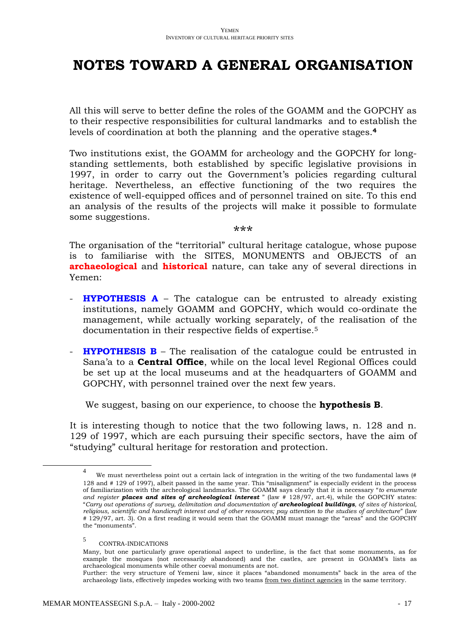# **NOTES TOWARD A GENERAL ORGANISATION**

All this will serve to better define the roles of the GOAMM and the GOPCHY as to their respective responsibilities for cultural landmarks and to establish the levels of coordination at both the planning and the operative stages.**<sup>4</sup>**

Two institutions exist, the GOAMM for archeology and the GOPCHY for longstanding settlements, both established by specific legislative provisions in 1997, in order to carry out the Government's policies regarding cultural heritage. Nevertheless, an effective functioning of the two requires the existence of well-equipped offices and of personnel trained on site. To this end an analysis of the results of the projects will make it possible to formulate some suggestions.

\*\*\*

The organisation of the "territorial" cultural heritage catalogue, whose pupose is to familiarise with the SITES, MONUMENTS and OBJECTS of an **archaeological** and **historical** nature, can take any of several directions in Yemen:

- **HYPOTHESIS A** The catalogue can be entrusted to already existing institutions, namely GOAMM and GOPCHY, which would co-ordinate the management, while actually working separately, of the realisation of the documentation in their respective fields of expertise.<sup>5</sup>
- **HYPOTHESIS B** The realisation of the catalogue could be entrusted in Sana'a to a **Central Office**, while on the local level Regional Offices could be set up at the local museums and at the headquarters of GOAMM and GOPCHY, with personnel trained over the next few years.

We suggest, basing on our experience, to choose the **hypothesis B**.

It is interesting though to notice that the two following laws, n. 128 and n. 129 of 1997, which are each pursuing their specific sectors, have the aim of "studying" cultural heritage for restoration and protection.

-

<sup>4</sup> We must nevertheless point out a certain lack of integration in the writing of the two fundamental laws (# 128 and # 129 of 1997), albeit passed in the same year. This "misalignment" is especially evident in the process of familiarization with the archeological landmarks. The GOAMM says clearly that it is necessary "*to enumerate and register places and sites of archeological interest* " (law # 128/97, art.4), while the GOPCHY states: "*Carry out operations of survey, delimitation and documentation of archeological buildings, of sites of historical, religious, scientific and handicraft interest and of other resources; pay attention to the studies of architecture*" (law # 129/97, art. 3). On a first reading it would seem that the GOAMM must manage the "areas" and the GOPCHY the "monuments".

<sup>5</sup> CONTRA-INDICATIONS

Many, but one particularly grave operational aspect to underline, is the fact that some monuments, as for example the mosques (not necessarily abandoned) and the castles, are present in GOAMM's lists as archaeological monuments while other coeval monuments are not.

Further: the very structure of Yemeni law, since it places "abandoned monuments" back in the area of the archaeology lists, effectively impedes working with two teams from two distinct agencies in the same territory.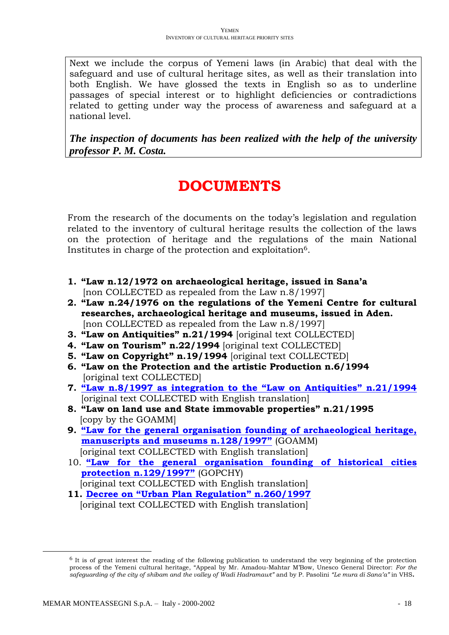Next we include the corpus of Yemeni laws (in Arabic) that deal with the safeguard and use of cultural heritage sites, as well as their translation into both English. We have glossed the texts in English so as to underline passages of special interest or to highlight deficiencies or contradictions related to getting under way the process of awareness and safeguard at a national level.

*The inspection of documents has been realized with the help of the university professor P. M. Costa.*

# **DOCUMENTS**

From the research of the documents on the today's legislation and regulation related to the inventory of cultural heritage results the collection of the laws on the protection of heritage and the regulations of the main National Institutes in charge of the protection and exploitation6.

- **1. "Law n.12/1972 on archaeological heritage, issued in Sana'a** [non COLLECTED as repealed from the Law n.8/1997]
- **2. "Law n.24/1976 on the regulations of the Yemeni Centre for cultural researches, archaeological heritage and museums, issued in Aden.** [non COLLECTED as repealed from the Law n.8/1997]
- **3. "Law on Antiquities" n.21/1994** [original text COLLECTED]
- **4. "Law on Tourism" n.22/1994** [original text COLLECTED]
- **5. "Law on Copyright" n.19/1994** [original text COLLECTED]
- **6. "Law on the Protection and the artistic Production n.6/1994** [original text COLLECTED]
- **7. "Law n.8/1997 as integration to the "Law on Antiquities" n.21/1994** [original text COLLECTED with English translation]
- **8. "Law on land use and State immovable properties" n.21/1995** [copy by the GOAMM]
- **9. "Law for the general organisation founding of archaeological heritage, manuscripts and museums n.128/1997"** (GOAMM) [original text COLLECTED with English translation]
- 10. **"Law for the general organisation founding of historical cities protection n.129/1997"** (GOPCHY)
- [original text COLLECTED with English translation] **11. Decree on "Urban Plan Regulation" n.260/1997**
	- [original text COLLECTED with English translation]

-

<sup>6</sup> It is of great interest the reading of the following publication to understand the very beginning of the protection process of the Yemeni cultural heritage, "Appeal by Mr. Amadou-Mahtar M'Bow, Unesco General Director: *For the safeguarding of the city of shibam and the valley of Wadi Hadramawt"* and by P. Pasolini *"Le mura di Sana'a"* in VHS*.*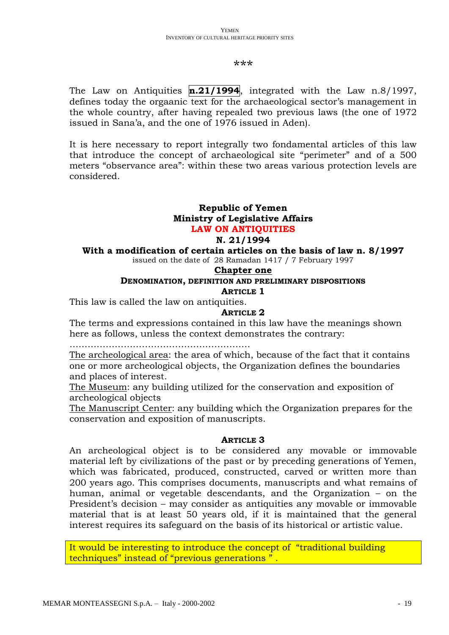#### \*\*\*

The Law on Antiquities  $\mathbf{n} \cdot 21/1994$ , integrated with the Law n.8/1997, defines today the orgaanic text for the archaeological sector's management in the whole country, after having repealed two previous laws (the one of 1972 issued in Sana'a, and the one of 1976 issued in Aden).

It is here necessary to report integrally two fondamental articles of this law that introduce the concept of archaeological site "perimeter" and of a 500 meters "observance area": within these two areas various protection levels are considered.

## **Republic of Yemen Ministry of Legislative Affairs LAW ON ANTIQUITIES**

## **N. 21/1994**

## **With a modification of certain articles on the basis of law n. 8/1997**

issued on the date of 28 Ramadan 1417 / 7 February 1997

#### **Chapter one**

## **DENOMINATION, DEFINITION AND PRELIMINARY DISPOSITIONS**

## **ARTICLE 1**

This law is called the law on antiquities.

## **ARTICLE 2**

The terms and expressions contained in this law have the meanings shown here as follows, unless the context demonstrates the contrary:

……………………………………………………

The archeological area: the area of which, because of the fact that it contains one or more archeological objects, the Organization defines the boundaries and places of interest.

The Museum: any building utilized for the conservation and exposition of archeological objects

The Manuscript Center: any building which the Organization prepares for the conservation and exposition of manuscripts.

## **ARTICLE 3**

An archeological object is to be considered any movable or immovable material left by civilizations of the past or by preceding generations of Yemen, which was fabricated, produced, constructed, carved or written more than 200 years ago. This comprises documents, manuscripts and what remains of human, animal or vegetable descendants, and the Organization – on the President's decision – may consider as antiquities any movable or immovable material that is at least 50 years old, if it is maintained that the general interest requires its safeguard on the basis of its historical or artistic value.

It would be interesting to introduce the concept of "traditional building techniques" instead of "previous generations " .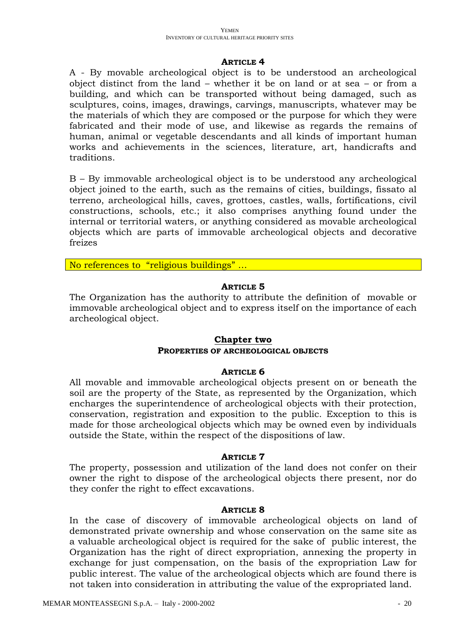## **ARTICLE 4**

A - By movable archeological object is to be understood an archeological object distinct from the land – whether it be on land or at sea – or from a building, and which can be transported without being damaged, such as sculptures, coins, images, drawings, carvings, manuscripts, whatever may be the materials of which they are composed or the purpose for which they were fabricated and their mode of use, and likewise as regards the remains of human, animal or vegetable descendants and all kinds of important human works and achievements in the sciences, literature, art, handicrafts and traditions.

B – By immovable archeological object is to be understood any archeological object joined to the earth, such as the remains of cities, buildings, fissato al terreno, archeological hills, caves, grottoes, castles, walls, fortifications, civil constructions, schools, etc.; it also comprises anything found under the internal or territorial waters, or anything considered as movable archeological objects which are parts of immovable archeological objects and decorative freizes

No references to "religious buildings" …

## **ARTICLE 5**

The Organization has the authority to attribute the definition of movable or immovable archeological object and to express itself on the importance of each archeological object.

## **Chapter two PROPERTIES OF ARCHEOLOGICAL OBJECTS**

## **ARTICLE 6**

All movable and immovable archeological objects present on or beneath the soil are the property of the State, as represented by the Organization, which encharges the superintendence of archeological objects with their protection, conservation, registration and exposition to the public. Exception to this is made for those archeological objects which may be owned even by individuals outside the State, within the respect of the dispositions of law.

## **ARTICLE 7**

The property, possession and utilization of the land does not confer on their owner the right to dispose of the archeological objects there present, nor do they confer the right to effect excavations.

#### **ARTICLE 8**

In the case of discovery of immovable archeological objects on land of demonstrated private ownership and whose conservation on the same site as a valuable archeological object is required for the sake of public interest, the Organization has the right of direct expropriation, annexing the property in exchange for just compensation, on the basis of the expropriation Law for public interest. The value of the archeological objects which are found there is not taken into consideration in attributing the value of the expropriated land.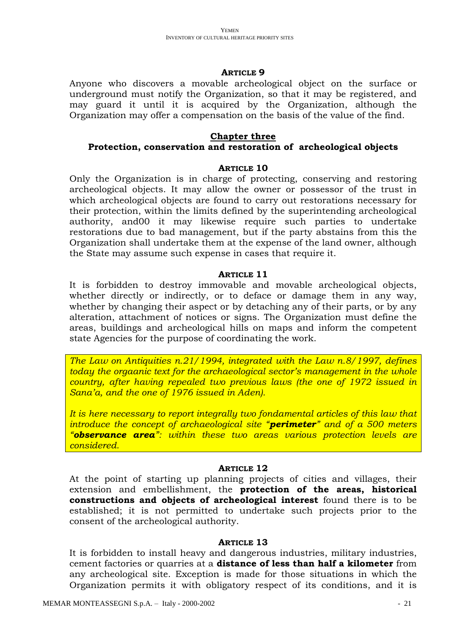## **ARTICLE 9**

Anyone who discovers a movable archeological object on the surface or underground must notify the Organization, so that it may be registered, and may guard it until it is acquired by the Organization, although the Organization may offer a compensation on the basis of the value of the find.

## **Chapter three**

## **Protection, conservation and restoration of archeological objects**

## **ARTICLE 10**

Only the Organization is in charge of protecting, conserving and restoring archeological objects. It may allow the owner or possessor of the trust in which archeological objects are found to carry out restorations necessary for their protection, within the limits defined by the superintending archeological authority, and00 it may likewise require such parties to undertake restorations due to bad management, but if the party abstains from this the Organization shall undertake them at the expense of the land owner, although the State may assume such expense in cases that require it.

## **ARTICLE 11**

It is forbidden to destroy immovable and movable archeological objects, whether directly or indirectly, or to deface or damage them in any way, whether by changing their aspect or by detaching any of their parts, or by any alteration, attachment of notices or signs. The Organization must define the areas, buildings and archeological hills on maps and inform the competent state Agencies for the purpose of coordinating the work.

*The Law on Antiquities n.21/1994, integrated with the Law n.8/1997, defines today the orgaanic text for the archaeological sector's management in the whole country, after having repealed two previous laws (the one of 1972 issued in Sana'a, and the one of 1976 issued in Aden).*

*It is here necessary to report integrally two fondamental articles of this law that introduce the concept of archaeological site "perimeter" and of a 500 meters "observance area": within these two areas various protection levels are considered.*

## **ARTICLE 12**

At the point of starting up planning projects of cities and villages, their extension and embellishment, the **protection of the areas, historical constructions and objects of archeological interest** found there is to be established; it is not permitted to undertake such projects prior to the consent of the archeological authority.

## **ARTICLE 13**

It is forbidden to install heavy and dangerous industries, military industries, cement factories or quarries at a **distance of less than half a kilometer** from any archeological site. Exception is made for those situations in which the Organization permits it with obligatory respect of its conditions, and it is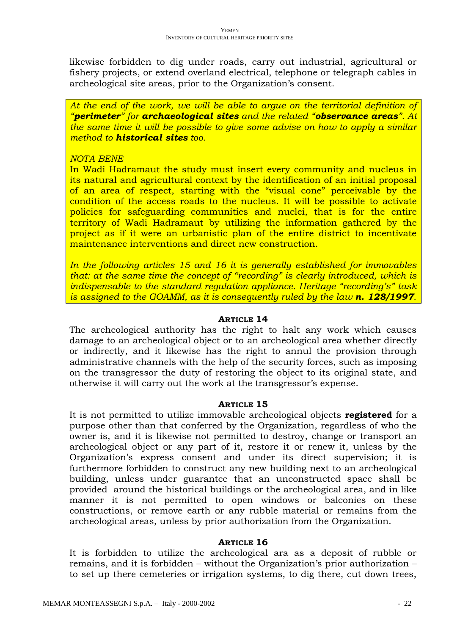likewise forbidden to dig under roads, carry out industrial, agricultural or fishery projects, or extend overland electrical, telephone or telegraph cables in archeological site areas, prior to the Organization's consent.

At the end of the work, we will be able to argue on the territorial definition of *"perimeter" for archaeological sites and the related "observance areas". At the same time it will be possible to give some advise on how to apply a similar method to historical sites too.*

## *NOTA BENE*

In Wadi Hadramaut the study must insert every community and nucleus in its natural and agricultural context by the identification of an initial proposal of an area of respect, starting with the "visual cone" perceivable by the condition of the access roads to the nucleus. It will be possible to activate policies for safeguarding communities and nuclei, that is for the entire territory of Wadi Hadramaut by utilizing the information gathered by the project as if it were an urbanistic plan of the entire district to incentivate maintenance interventions and direct new construction.

*In the following articles 15 and 16 it is generally established for immovables that: at the same time the concept of "recording" is clearly introduced, which is indispensable to the standard regulation appliance. Heritage "recording's" task is assigned to the GOAMM, as it is consequently ruled by the law n. 128/1997.*

## **ARTICLE 14**

The archeological authority has the right to halt any work which causes damage to an archeological object or to an archeological area whether directly or indirectly, and it likewise has the right to annul the provision through administrative channels with the help of the security forces, such as imposing on the transgressor the duty of restoring the object to its original state, and otherwise it will carry out the work at the transgressor's expense.

## **ARTICLE 15**

It is not permitted to utilize immovable archeological objects **registered** for a purpose other than that conferred by the Organization, regardless of who the owner is, and it is likewise not permitted to destroy, change or transport an archeological object or any part of it, restore it or renew it, unless by the Organization's express consent and under its direct supervision; it is furthermore forbidden to construct any new building next to an archeological building, unless under guarantee that an unconstructed space shall be provided around the historical buildings or the archeological area, and in like manner it is not permitted to open windows or balconies on these constructions, or remove earth or any rubble material or remains from the archeological areas, unless by prior authorization from the Organization.

## **ARTICLE 16**

It is forbidden to utilize the archeological ara as a deposit of rubble or remains, and it is forbidden – without the Organization's prior authorization – to set up there cemeteries or irrigation systems, to dig there, cut down trees,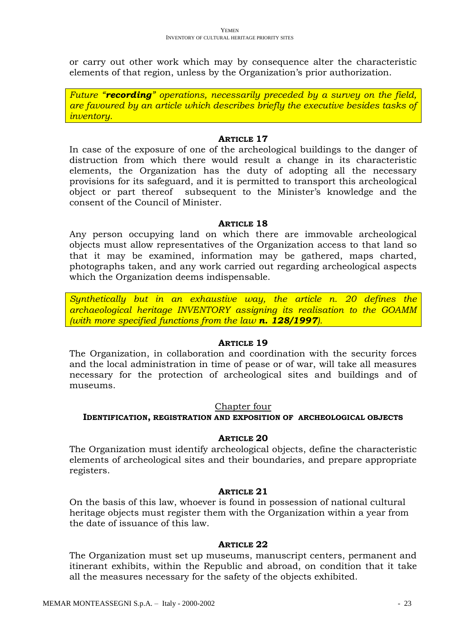or carry out other work which may by consequence alter the characteristic elements of that region, unless by the Organization's prior authorization.

*Future "recording" operations, necessarily preceded by a survey on the field, are favoured by an article which describes briefly the executive besides tasks of inventory.*

## **ARTICLE 17**

In case of the exposure of one of the archeological buildings to the danger of distruction from which there would result a change in its characteristic elements, the Organization has the duty of adopting all the necessary provisions for its safeguard, and it is permitted to transport this archeological object or part thereof subsequent to the Minister's knowledge and the consent of the Council of Minister.

## **ARTICLE 18**

Any person occupying land on which there are immovable archeological objects must allow representatives of the Organization access to that land so that it may be examined, information may be gathered, maps charted, photographs taken, and any work carried out regarding archeological aspects which the Organization deems indispensable.

*Synthetically but in an exhaustive way, the article n. 20 defines the archaeological heritage INVENTORY assigning its realisation to the GOAMM (with more specified functions from the law n. 128/1997).* 

## **ARTICLE 19**

The Organization, in collaboration and coordination with the security forces and the local administration in time of pease or of war, will take all measures necessary for the protection of archeological sites and buildings and of museums.

## Chapter four

## **IDENTIFICATION, REGISTRATION AND EXPOSITION OF ARCHEOLOGICAL OBJECTS**

## **ARTICLE 20**

The Organization must identify archeological objects, define the characteristic elements of archeological sites and their boundaries, and prepare appropriate registers.

## **ARTICLE 21**

On the basis of this law, whoever is found in possession of national cultural heritage objects must register them with the Organization within a year from the date of issuance of this law.

## **ARTICLE 22**

The Organization must set up museums, manuscript centers, permanent and itinerant exhibits, within the Republic and abroad, on condition that it take all the measures necessary for the safety of the objects exhibited.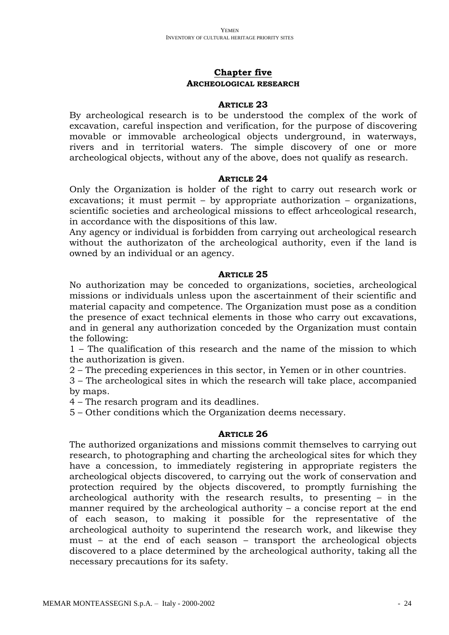## **Chapter five ARCHEOLOGICAL RESEARCH**

## **ARTICLE 23**

By archeological research is to be understood the complex of the work of excavation, careful inspection and verification, for the purpose of discovering movable or immovable archeological objects underground, in waterways, rivers and in territorial waters. The simple discovery of one or more archeological objects, without any of the above, does not qualify as research.

## **ARTICLE 24**

Only the Organization is holder of the right to carry out research work or excavations; it must permit – by appropriate authorization – organizations, scientific societies and archeological missions to effect arhceological research, in accordance with the dispositions of this law.

Any agency or individual is forbidden from carrying out archeological research without the authorizaton of the archeological authority, even if the land is owned by an individual or an agency.

## **ARTICLE 25**

No authorization may be conceded to organizations, societies, archeological missions or individuals unless upon the ascertainment of their scientific and material capacity and competence. The Organization must pose as a condition the presence of exact technical elements in those who carry out excavations, and in general any authorization conceded by the Organization must contain the following:

1 – The qualification of this research and the name of the mission to which the authorization is given.

2 – The preceding experiences in this sector, in Yemen or in other countries.

3 – The archeological sites in which the research will take place, accompanied by maps.

4 – The resarch program and its deadlines.

5 – Other conditions which the Organization deems necessary.

## **ARTICLE 26**

The authorized organizations and missions commit themselves to carrying out research, to photographing and charting the archeological sites for which they have a concession, to immediately registering in appropriate registers the archeological objects discovered, to carrying out the work of conservation and protection required by the objects discovered, to promptly furnishing the archeological authority with the research results, to presenting – in the manner required by the archeological authority – a concise report at the end of each season, to making it possible for the representative of the archeological authoity to superintend the research work, and likewise they must – at the end of each season – transport the archeological objects discovered to a place determined by the archeological authority, taking all the necessary precautions for its safety.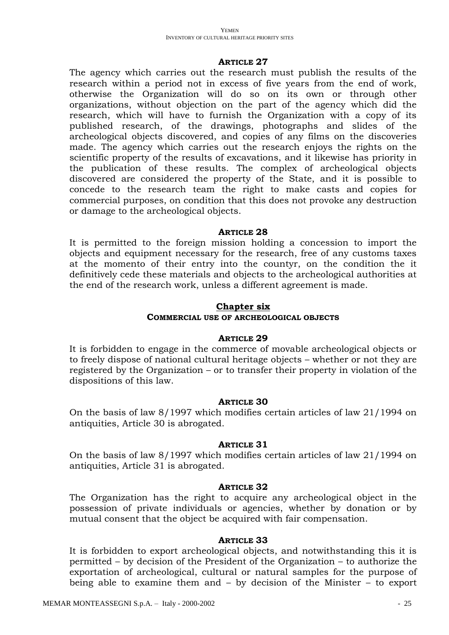## **ARTICLE 27**

The agency which carries out the research must publish the results of the research within a period not in excess of five years from the end of work, otherwise the Organization will do so on its own or through other organizations, without objection on the part of the agency which did the research, which will have to furnish the Organization with a copy of its published research, of the drawings, photographs and slides of the archeological objects discovered, and copies of any films on the discoveries made. The agency which carries out the research enjoys the rights on the scientific property of the results of excavations, and it likewise has priority in the publication of these results. The complex of archeological objects discovered are considered the property of the State, and it is possible to concede to the research team the right to make casts and copies for commercial purposes, on condition that this does not provoke any destruction or damage to the archeological objects.

## **ARTICLE 28**

It is permitted to the foreign mission holding a concession to import the objects and equipment necessary for the research, free of any customs taxes at the momento of their entry into the countyr, on the condition the it definitively cede these materials and objects to the archeological authorities at the end of the research work, unless a different agreement is made.

## **Chapter six**

### **COMMERCIAL USE OF ARCHEOLOGICAL OBJECTS**

## **ARTICLE 29**

It is forbidden to engage in the commerce of movable archeological objects or to freely dispose of national cultural heritage objects – whether or not they are registered by the Organization – or to transfer their property in violation of the dispositions of this law.

## **ARTICLE 30**

On the basis of law 8/1997 which modifies certain articles of law 21/1994 on antiquities, Article 30 is abrogated.

## **ARTICLE 31**

On the basis of law 8/1997 which modifies certain articles of law 21/1994 on antiquities, Article 31 is abrogated.

## **ARTICLE 32**

The Organization has the right to acquire any archeological object in the possession of private individuals or agencies, whether by donation or by mutual consent that the object be acquired with fair compensation.

## **ARTICLE 33**

It is forbidden to export archeological objects, and notwithstanding this it is permitted – by decision of the President of the Organization – to authorize the exportation of archeological, cultural or natural samples for the purpose of being able to examine them and – by decision of the Minister – to export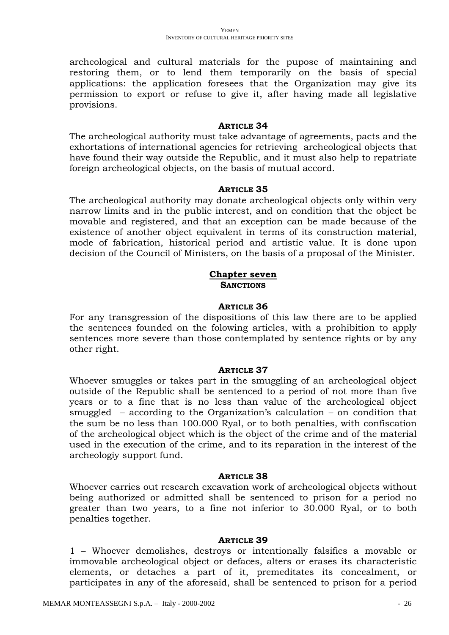archeological and cultural materials for the pupose of maintaining and restoring them, or to lend them temporarily on the basis of special applications: the application foresees that the Organization may give its permission to export or refuse to give it, after having made all legislative provisions.

## **ARTICLE 34**

The archeological authority must take advantage of agreements, pacts and the exhortations of international agencies for retrieving archeological objects that have found their way outside the Republic, and it must also help to repatriate foreign archeological objects, on the basis of mutual accord.

## **ARTICLE 35**

The archeological authority may donate archeological objects only within very narrow limits and in the public interest, and on condition that the object be movable and registered, and that an exception can be made because of the existence of another object equivalent in terms of its construction material, mode of fabrication, historical period and artistic value. It is done upon decision of the Council of Ministers, on the basis of a proposal of the Minister.

## **Chapter seven SANCTIONS**

## **ARTICLE 36**

For any transgression of the dispositions of this law there are to be applied the sentences founded on the folowing articles, with a prohibition to apply sentences more severe than those contemplated by sentence rights or by any other right.

## **ARTICLE 37**

Whoever smuggles or takes part in the smuggling of an archeological object outside of the Republic shall be sentenced to a period of not more than five years or to a fine that is no less than value of the archeological object smuggled – according to the Organization's calculation – on condition that the sum be no less than 100.000 Ryal, or to both penalties, with confiscation of the archeological object which is the object of the crime and of the material used in the execution of the crime, and to its reparation in the interest of the archeologiy support fund.

## **ARTICLE 38**

Whoever carries out research excavation work of archeological objects without being authorized or admitted shall be sentenced to prison for a period no greater than two years, to a fine not inferior to 30.000 Ryal, or to both penalties together.

## **ARTICLE 39**

1 – Whoever demolishes, destroys or intentionally falsifies a movable or immovable archeological object or defaces, alters or erases its characteristic elements, or detaches a part of it, premeditates its concealment, or participates in any of the aforesaid, shall be sentenced to prison for a period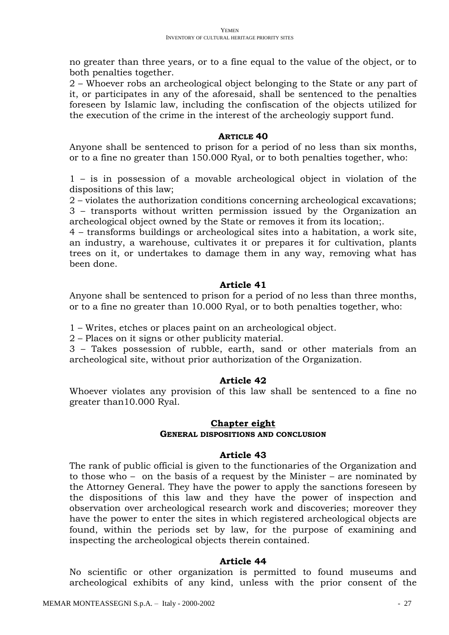no greater than three years, or to a fine equal to the value of the object, or to both penalties together.

2 – Whoever robs an archeological object belonging to the State or any part of it, or participates in any of the aforesaid, shall be sentenced to the penalties foreseen by Islamic law, including the confiscation of the objects utilized for the execution of the crime in the interest of the archeologiy support fund.

## **ARTICLE 40**

Anyone shall be sentenced to prison for a period of no less than six months, or to a fine no greater than 150.000 Ryal, or to both penalties together, who:

1 – is in possession of a movable archeological object in violation of the dispositions of this law;

2 – violates the authorization conditions concerning archeological excavations; 3 – transports without written permission issued by the Organization an archeological object owned by the State or removes it from its location;.

4 – transforms buildings or archeological sites into a habitation, a work site, an industry, a warehouse, cultivates it or prepares it for cultivation, plants trees on it, or undertakes to damage them in any way, removing what has been done.

## **Article 41**

Anyone shall be sentenced to prison for a period of no less than three months, or to a fine no greater than 10.000 Ryal, or to both penalties together, who:

1 – Writes, etches or places paint on an archeological object.

2 – Places on it signs or other publicity material.

3 – Takes possession of rubble, earth, sand or other materials from an archeological site, without prior authorization of the Organization.

## **Article 42**

Whoever violates any provision of this law shall be sentenced to a fine no greater than10.000 Ryal.

#### **Chapter eight GENERAL DISPOSITIONS AND CONCLUSION**

## **Article 43**

The rank of public official is given to the functionaries of the Organization and to those who – on the basis of a request by the Minister – are nominated by the Attorney General. They have the power to apply the sanctions foreseen by the dispositions of this law and they have the power of inspection and observation over archeological research work and discoveries; moreover they have the power to enter the sites in which registered archeological objects are found, within the periods set by law, for the purpose of examining and inspecting the archeological objects therein contained.

## **Article 44**

No scientific or other organization is permitted to found museums and archeological exhibits of any kind, unless with the prior consent of the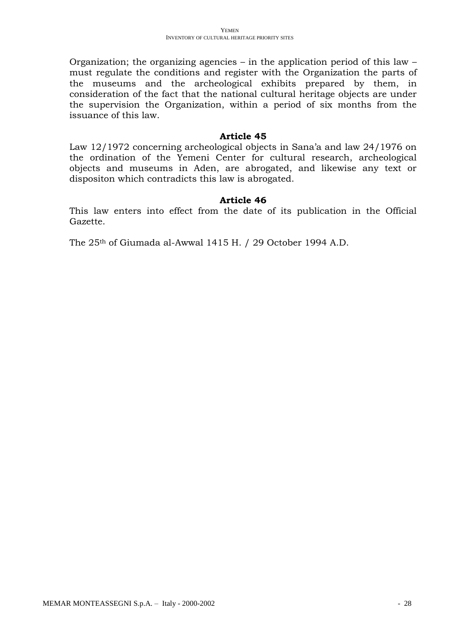Organization; the organizing agencies – in the application period of this law – must regulate the conditions and register with the Organization the parts of the museums and the archeological exhibits prepared by them, in consideration of the fact that the national cultural heritage objects are under the supervision the Organization, within a period of six months from the issuance of this law.

## **Article 45**

Law 12/1972 concerning archeological objects in Sana'a and law 24/1976 on the ordination of the Yemeni Center for cultural research, archeological objects and museums in Aden, are abrogated, and likewise any text or dispositon which contradicts this law is abrogated.

## **Article 46**

This law enters into effect from the date of its publication in the Official Gazette.

The 25th of Giumada al-Awwal 1415 H. / 29 October 1994 A.D.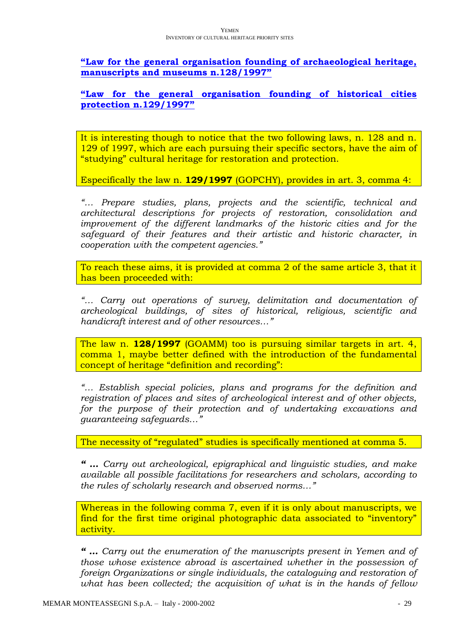**"Law for the general organisation founding of archaeological heritage, manuscripts and museums n.128/1997"**

## **"Law for the general organisation founding of historical cities protection n.129/1997"**

It is interesting though to notice that the two following laws, n. 128 and n. 129 of 1997, which are each pursuing their specific sectors, have the aim of "studying" cultural heritage for restoration and protection.

Especifically the law n. **129/1997** (GOPCHY), provides in art. 3, comma 4:

*"… Prepare studies, plans, projects and the scientific, technical and architectural descriptions for projects of restoration, consolidation and improvement of the different landmarks of the historic cities and for the safeguard of their features and their artistic and historic character, in cooperation with the competent agencies."*

To reach these aims, it is provided at comma 2 of the same article 3, that it has been proceeded with:

*"… Carry out operations of survey, delimitation and documentation of archeological buildings, of sites of historical, religious, scientific and handicraft interest and of other resources…"*

The law n. **128/1997** (GOAMM) too is pursuing similar targets in art. 4, comma 1, maybe better defined with the introduction of the fundamental concept of heritage "definition and recording":

*"… Establish special policies, plans and programs for the definition and registration of places and sites of archeological interest and of other objects, for the purpose of their protection and of undertaking excavations and guaranteeing safeguards…"*

The necessity of "regulated" studies is specifically mentioned at comma 5.

*" … Carry out archeological, epigraphical and linguistic studies, and make available all possible facilitations for researchers and scholars, according to the rules of scholarly research and observed norms…"*

Whereas in the following comma 7, even if it is only about manuscripts, we find for the first time original photographic data associated to "inventory" activity.

*" … Carry out the enumeration of the manuscripts present in Yemen and of those whose existence abroad is ascertained whether in the possession of foreign Organizations or single individuals, the cataloguing and restoration of what has been collected; the acquisition of what is in the hands of fellow*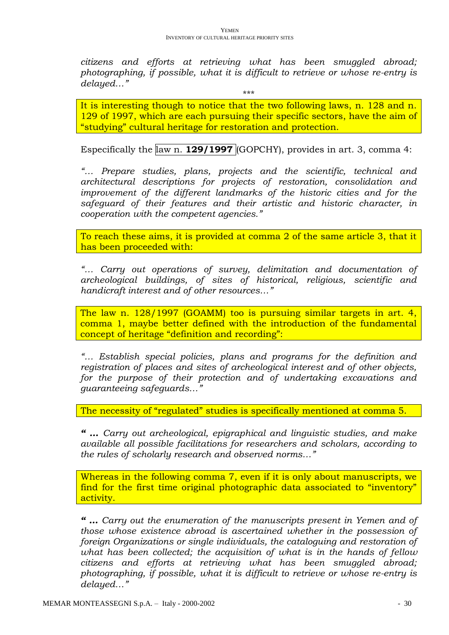*citizens and efforts at retrieving what has been smuggled abroad; photographing, if possible, what it is difficult to retrieve or whose re-entry is delayed…"*

\*\*\*

It is interesting though to notice that the two following laws, n. 128 and n. 129 of 1997, which are each pursuing their specific sectors, have the aim of "studying" cultural heritage for restoration and protection.

Especifically the law n. **129/1997** (GOPCHY), provides in art. 3, comma 4:

*"… Prepare studies, plans, projects and the scientific, technical and architectural descriptions for projects of restoration, consolidation and improvement of the different landmarks of the historic cities and for the safeguard of their features and their artistic and historic character, in cooperation with the competent agencies."*

To reach these aims, it is provided at comma 2 of the same article 3, that it has been proceeded with:

*"… Carry out operations of survey, delimitation and documentation of archeological buildings, of sites of historical, religious, scientific and handicraft interest and of other resources…"*

The law n. 128/1997 (GOAMM) too is pursuing similar targets in art. 4, comma 1, maybe better defined with the introduction of the fundamental concept of heritage "definition and recording":

*"… Establish special policies, plans and programs for the definition and registration of places and sites of archeological interest and of other objects, for the purpose of their protection and of undertaking excavations and guaranteeing safeguards…"*

The necessity of "regulated" studies is specifically mentioned at comma 5.

*" … Carry out archeological, epigraphical and linguistic studies, and make available all possible facilitations for researchers and scholars, according to the rules of scholarly research and observed norms…"*

Whereas in the following comma 7, even if it is only about manuscripts, we find for the first time original photographic data associated to "inventory" activity.

*" … Carry out the enumeration of the manuscripts present in Yemen and of those whose existence abroad is ascertained whether in the possession of foreign Organizations or single individuals, the cataloguing and restoration of what has been collected; the acquisition of what is in the hands of fellow citizens and efforts at retrieving what has been smuggled abroad; photographing, if possible, what it is difficult to retrieve or whose re-entry is delayed…"*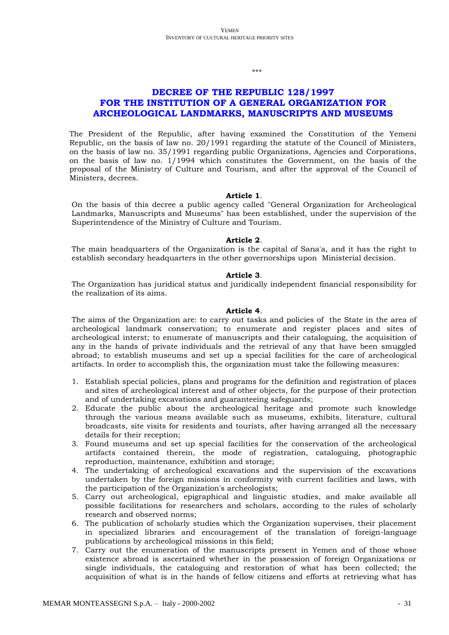\*\*\*

## **DECREE OF THE REPUBLIC 128/1997 FOR THE INSTITUTION OF A GENERAL ORGANIZATION FOR ARCHEOLOGICAL LANDMARKS, MANUSCRIPTS AND MUSEUMS**

The President of the Republic, after having examined the Constitution of the Yemeni Republic, on the basis of law no. 20/1991 regarding the statute of the Council of Ministers, on the basis of law no. 35/1991 regarding public Organizations, Agencies and Corporations, on the basis of law no. 1/1994 which constitutes the Government, on the basis of the proposal of the Ministry of Culture and Tourism, and after the approval of the Council of Ministers, decrees.

#### **Article 1**.

On the basis of this decree a public agency called "General Organization for Archeological Landmarks, Manuscripts and Museums" has been established, under the supervision of the Superintendence of the Ministry of Culture and Tourism.

#### **Article 2**.

The main headquarters of the Organization is the capital of Sana'a, and it has the right to establish secondary headquarters in the other governorships upon Ministerial decision.

#### **Article 3**.

The Organization has juridical status and juridically independent financial responsibility for the realization of its aims.

#### **Article 4**.

The aims of the Organization are: to carry out tasks and policies of the State in the area of archeological landmark conservation; to enumerate and register places and sites of archeological interst; to enumerate of manuscripts and their cataloguing, the acquisition of any in the hands of private individuals and the retrieval of any that have been smuggled abroad; to establish museums and set up a special facilities for the care of archeological artifacts. In order to accomplish this, the organization must take the following measures:

- 1. Establish special policies, plans and programs for the definition and registration of places and sites of archeological interest and of other objects, for the purpose of their protection and of undertaking excavations and guaranteeing safeguards;
- 2. Educate the public about the archeological heritage and promote such knowledge through the various means available such as museums, exhibits, literature, cultural broadcasts, site visits for residents and tourists, after having arranged all the necessary details for their reception;
- 3. Found museums and set up special facilities for the conservation of the archeological artifacts contained therein, the mode of registration, cataloguing, photographic reproduction, maintenance, exhibition and storage;
- 4. The undertaking of archeological excavations and the supervision of the excavations undertaken by the foreign missions in conformity with current facilities and laws, with the participation of the Organization's archeologists;
- 5. Carry out archeological, epigraphical and linguistic studies, and make available all possible facilitations for researchers and scholars, according to the rules of scholarly research and observed norms;
- 6. The publication of scholarly studies which the Organization supervises, their placement in specialized libraries and encouragement of the translation of foreign-language publications by archeological missions in this field;
- 7. Carry out the enumeration of the manuscripts present in Yemen and of those whose existence abroad is ascertained whether in the possession of foreign Organizations or single individuals, the cataloguing and restoration of what has been collected; the acquisition of what is in the hands of fellow citizens and efforts at retrieving what has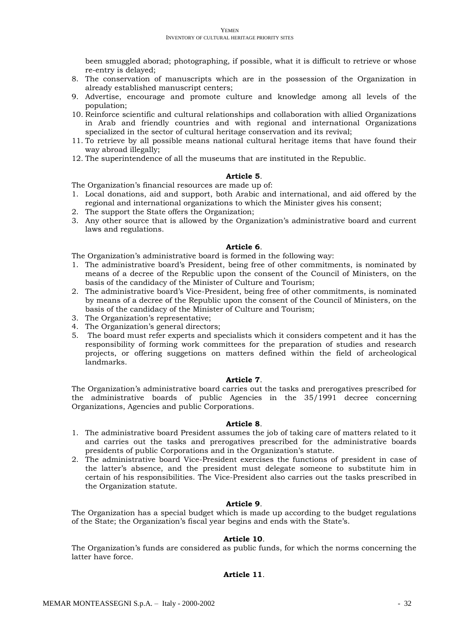been smuggled aborad; photographing, if possible, what it is difficult to retrieve or whose re-entry is delayed;

- 8. The conservation of manuscripts which are in the possession of the Organization in already established manuscript centers;
- 9. Advertise, encourage and promote culture and knowledge among all levels of the population;
- 10. Reinforce scientific and cultural relationships and collaboration with allied Organizations in Arab and friendly countries and with regional and international Organizations specialized in the sector of cultural heritage conservation and its revival;
- 11. To retrieve by all possible means national cultural heritage items that have found their way abroad illegally;
- 12. The superintendence of all the museums that are instituted in the Republic.

#### **Article 5**.

The Organization's financial resources are made up of:

- 1. Local donations, aid and support, both Arabic and international, and aid offered by the regional and international organizations to which the Minister gives his consent;
- 2. The support the State offers the Organization;
- 3. Any other source that is allowed by the Organization's administrative board and current laws and regulations.

#### **Article 6**.

The Organization's administrative board is formed in the following way:

- 1. The administrative board's President, being free of other commitments, is nominated by means of a decree of the Republic upon the consent of the Council of Ministers, on the basis of the candidacy of the Minister of Culture and Tourism;
- 2. The administrative board's Vice-President, being free of other commitments, is nominated by means of a decree of the Republic upon the consent of the Council of Ministers, on the basis of the candidacy of the Minister of Culture and Tourism;
- 3. The Organization's representative;
- 4. The Organization's general directors;
- 5. The board must refer experts and specialists which it considers competent and it has the responsibility of forming work committees for the preparation of studies and research projects, or offering suggetions on matters defined within the field of archeological landmarks.

#### **Article 7**.

The Organization's administrative board carries out the tasks and prerogatives prescribed for the administrative boards of public Agencies in the 35/1991 decree concerning Organizations, Agencies and public Corporations.

#### **Article 8**.

- 1. The administrative board President assumes the job of taking care of matters related to it and carries out the tasks and prerogatives prescribed for the administrative boards presidents of public Corporations and in the Organization's statute.
- 2. The administrative board Vice-President exercises the functions of president in case of the latter's absence, and the president must delegate someone to substitute him in certain of his responsibilities. The Vice-President also carries out the tasks prescribed in the Organization statute.

#### **Article 9**.

The Organization has a special budget which is made up according to the budget regulations of the State; the Organization's fiscal year begins and ends with the State's.

#### **Article 10**.

The Organization's funds are considered as public funds, for which the norms concerning the latter have force.

#### **Article 11**.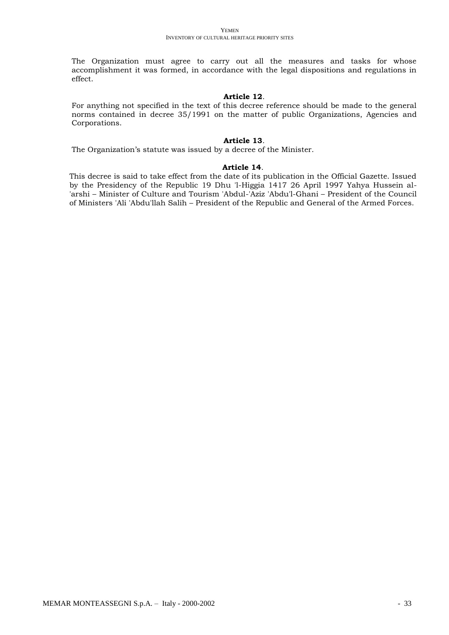The Organization must agree to carry out all the measures and tasks for whose accomplishment it was formed, in accordance with the legal dispositions and regulations in effect.

#### **Article 12**.

For anything not specified in the text of this decree reference should be made to the general norms contained in decree 35/1991 on the matter of public Organizations, Agencies and Corporations.

#### **Article 13**.

The Organization's statute was issued by a decree of the Minister.

#### **Article 14**.

This decree is said to take effect from the date of its publication in the Official Gazette. Issued by the Presidency of the Republic 19 Dhu 'l-Higgia 1417 26 April 1997 Yahya Hussein al- 'arshi – Minister of Culture and Tourism 'Abdul-'Aziz 'Abdu'l-Ghani – President of the Council of Ministers 'Ali 'Abdu'llah Salih – President of the Republic and General of the Armed Forces.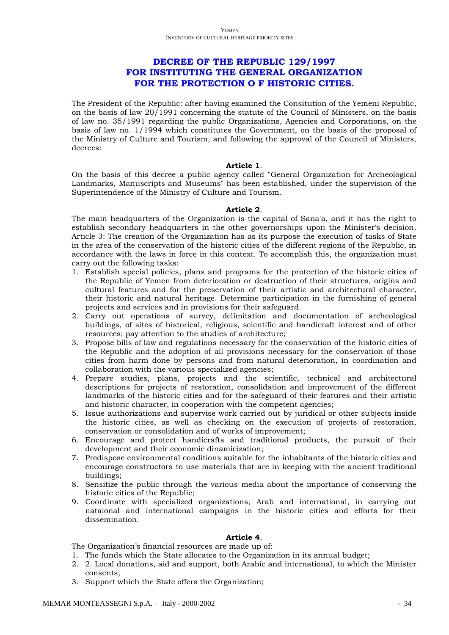## **DECREE OF THE REPUBLIC 129/1997 FOR INSTITUTING THE GENERAL ORGANIZATION FOR THE PROTECTION O F HISTORIC CITIES.**

The President of the Republic: after having examined the Consitution of the Yemeni Republic, on the basis of law 20/1991 concerning the statute of the Council of Ministers, on the basis of law no. 35/1991 regarding the public Organizations, Agencies and Corporations, on the basis of law no. 1/1994 which constitutes the Government, on the basis of the proposal of the Ministry of Culture and Tourism, and following the approval of the Council of Ministers, decrees:

#### **Article 1**.

On the basis of this decree a public agency called "General Organization for Archeological Landmarks, Manuscripts and Museums" has been established, under the supervision of the Superintendence of the Ministry of Culture and Tourism.

#### **Article 2**.

The main headquarters of the Organization is the capital of Sana'a, and it has the right to establish secondary headquarters in the other governorships upon the Minister's decision. Article 3: The creation of the Organization has as its purpose the execution of tasks of State in the area of the conservation of the historic cities of the different regions of the Republic, in accordance with the laws in force in this context. To accomplish this, the organization must carry out the following tasks:

- 1. Establish special policies, plans and programs for the protection of the historic cities of the Republic of Yemen from deterioration or destruction of their structures, origins and cultural features and for the preservation of their artistic and architectural character, their historic and natural heritage. Determine participation in the furnishing of general projects and services and in provisions for their safeguard.
- 2. Carry out operations of survey, delimitation and documentation of archeological buildings, of sites of historical, religious, scientific and handicraft interest and of other resources; pay attention to the studies of architecture;
- 3. Propose bills of law and regulations necessary for the conservation of the historic cities of the Republic and the adoption of all provisions necessary for the conservation of those cities from harm done by persons and from natural deterioration, in coordination and collaboration with the various specialized agencies;
- 4. Prepare studies, plans, projects and the scientific, technical and architectural descriptions for projects of restoration, consolidation and improvement of the different landmarks of the historic cities and for the safeguard of their features and their artistic and historic character, in cooperation with the competent agencies;
- 5. Issue authorizations and supervise work carried out by juridical or other subjects inside the historic cities, as well as checking on the execution of projects of restoration, conservation or consolidation and of works of improvement;
- 6. Encourage and protect handicrafts and traditional products, the pursuit of their development and their economic dinamicization;
- 7. Predispose environmental conditions suitable for the inhabitants of the historic cities and encourage constructors to use materials that are in keeping with the ancient traditional buildings;
- 8. Sensitize the public through the various media about the importance of conserving the historic cities of the Republic;
- 9. Coordinate with specialized organizations, Arab and international, in carrying out nataional and international campaigns in the historic cities and efforts for their dissemination.

#### **Article 4**.

The Organization's financial resources are made up of:

- 1. The funds which the State allocates to the Organization in its annual budget;
- 2. 2. Local donations, aid and support, both Arabic and international, to which the Minister consents;
- 3. Support which the State offers the Organization;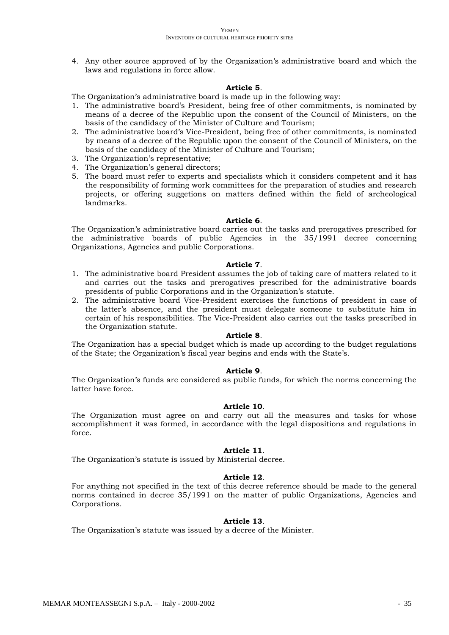4. Any other source approved of by the Organization's administrative board and which the laws and regulations in force allow.

#### **Article 5**.

The Organization's administrative board is made up in the following way:

- 1. The administrative board's President, being free of other commitments, is nominated by means of a decree of the Republic upon the consent of the Council of Ministers, on the basis of the candidacy of the Minister of Culture and Tourism;
- 2. The administrative board's Vice-President, being free of other commitments, is nominated by means of a decree of the Republic upon the consent of the Council of Ministers, on the basis of the candidacy of the Minister of Culture and Tourism;
- 3. The Organization's representative;
- 4. The Organization's general directors;
- 5. The board must refer to experts and specialists which it considers competent and it has the responsibility of forming work committees for the preparation of studies and research projects, or offering suggetions on matters defined within the field of archeological landmarks.

#### **Article 6**.

The Organization's administrative board carries out the tasks and prerogatives prescribed for the administrative boards of public Agencies in the 35/1991 decree concerning Organizations, Agencies and public Corporations.

#### **Article 7**.

- 1. The administrative board President assumes the job of taking care of matters related to it and carries out the tasks and prerogatives prescribed for the administrative boards presidents of public Corporations and in the Organization's statute.
- 2. The administrative board Vice-President exercises the functions of president in case of the latter's absence, and the president must delegate someone to substitute him in certain of his responsibilities. The Vice-President also carries out the tasks prescribed in the Organization statute.

#### **Article 8**.

The Organization has a special budget which is made up according to the budget regulations of the State; the Organization's fiscal year begins and ends with the State's.

#### **Article 9**.

The Organization's funds are considered as public funds, for which the norms concerning the latter have force.

#### **Article 10**.

The Organization must agree on and carry out all the measures and tasks for whose accomplishment it was formed, in accordance with the legal dispositions and regulations in force.

#### **Article 11**.

The Organization's statute is issued by Ministerial decree.

#### **Article 12**.

For anything not specified in the text of this decree reference should be made to the general norms contained in decree 35/1991 on the matter of public Organizations, Agencies and Corporations.

#### **Article 13**.

The Organization's statute was issued by a decree of the Minister.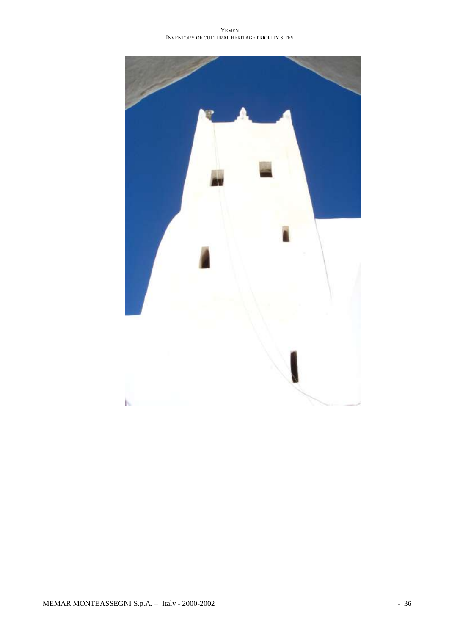

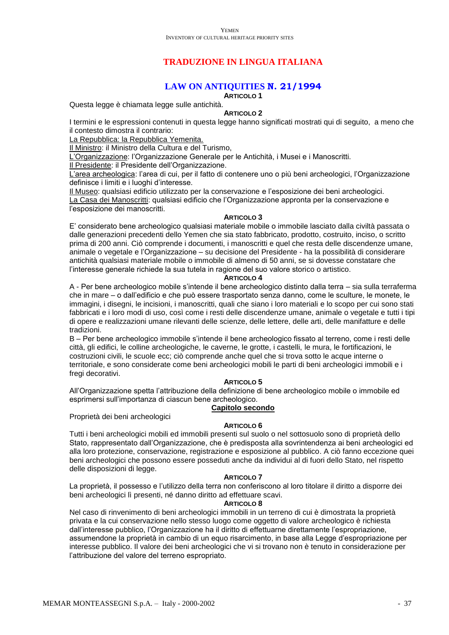## **TRADUZIONE IN LINGUA ITALIANA**

## **LAW ON ANTIQUITIES N. 21/1994**

#### **ARTICOLO 1**

Questa legge è chiamata legge sulle antichità.

#### **ARTICOLO 2**

I termini e le espressioni contenuti in questa legge hanno significati mostrati qui di seguito, a meno che il contesto dimostra il contrario:

La Repubblica: la Repubblica Yemenita.

Il Ministro: il Ministro della Cultura e del Turismo,

L'Organizzazione: l'Organizzazione Generale per le Antichità, i Musei e i Manoscritti.

Il Presidente: il Presidente dell'Organizzazione.

L'area archeologica: l'area di cui, per il fatto di contenere uno o più beni archeologici, l'Organizzazione definisce i limiti e i luoghi d'interesse.

Il Museo: qualsiasi edificio utilizzato per la conservazione e l'esposizione dei beni archeologici. La Casa dei Manoscritti: qualsiasi edificio che l'Organizzazione appronta per la conservazione e l'esposizione dei manoscritti.

#### **ARTICOLO 3**

E' considerato bene archeologico qualsiasi materiale mobile o immobile lasciato dalla civiltà passata o dalle generazioni precedenti dello Yemen che sia stato fabbricato, prodotto, costruito, inciso, o scritto prima di 200 anni. Ciò comprende i documenti, i manoscritti e quel che resta delle discendenze umane, animale o vegetale e l'Organizzazione – su decisione del Presidente - ha la possibilità di considerare antichità qualsiasi materiale mobile o immobile di almeno di 50 anni, se si dovesse constatare che l'interesse generale richiede la sua tutela in ragione del suo valore storico o artistico.

#### **ARTICOLO 4**

A - Per bene archeologico mobile s'intende il bene archeologico distinto dalla terra – sia sulla terraferma che in mare – o dall'edificio e che può essere trasportato senza danno, come le sculture, le monete, le immagini, i disegni, le incisioni, i manoscritti, quali che siano i loro materiali e lo scopo per cui sono stati fabbricati e i loro modi di uso, così come i resti delle discendenze umane, animale o vegetale e tutti i tipi di opere e realizzazioni umane rilevanti delle scienze, delle lettere, delle arti, delle manifatture e delle tradizioni.

B – Per bene archeologico immobile s'intende il bene archeologico fissato al terreno, come i resti delle città, gli edifici, le colline archeologiche, le caverne, le grotte, i castelli, le mura, le fortificazioni, le costruzioni civili, le scuole ecc; ciò comprende anche quel che si trova sotto le acque interne o territoriale, e sono considerate come beni archeologici mobili le parti di beni archeologici immobili e i fregi decorativi.

#### **ARTICOLO 5**

All'Organizzazione spetta l'attribuzione della definizione di bene archeologico mobile o immobile ed esprimersi sull'importanza di ciascun bene archeologico.

#### **Capitolo secondo**

Proprietà dei beni archeologici

#### **ARTICOLO 6**

Tutti i beni archeologici mobili ed immobili presenti sul suolo o nel sottosuolo sono di proprietà dello Stato, rappresentato dall'Organizzazione, che è predisposta alla sovrintendenza ai beni archeologici ed alla loro protezione, conservazione, registrazione e esposizione al pubblico. A ciò fanno eccezione quei beni archeologici che possono essere posseduti anche da individui al di fuori dello Stato, nel rispetto delle disposizioni di legge.

#### **ARTICOLO 7**

La proprietà, il possesso e l'utilizzo della terra non conferiscono al loro titolare il diritto a disporre dei beni archeologici lì presenti, né danno diritto ad effettuare scavi.

#### **ARTICOLO 8**

Nel caso di rinvenimento di beni archeologici immobili in un terreno di cui è dimostrata la proprietà privata e la cui conservazione nello stesso luogo come oggetto di valore archeologico è richiesta dall'interesse pubblico, l'Organizzazione ha il diritto di effettuarne direttamente l'espropriazione, assumendone la proprietà in cambio di un equo risarcimento, in base alla Legge d'espropriazione per interesse pubblico. Il valore dei beni archeologici che vi si trovano non è tenuto in considerazione per l'attribuzione del valore del terreno espropriato.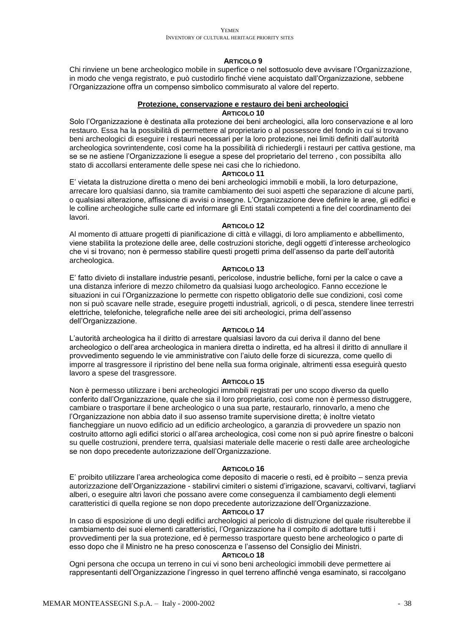#### **ARTICOLO 9**

Chi rinviene un bene archeologico mobile in superfice o nel sottosuolo deve avvisare l'Organizzazione, in modo che venga registrato, e può custodirlo finché viene acquistato dall'Organizzazione, sebbene l'Organizzazione offra un compenso simbolico commisurato al valore del reperto.

#### **Protezione, conservazione e restauro dei beni archeologici**

#### **ARTICOLO 10**

Solo l'Organizzazione è destinata alla protezione dei beni archeologici, alla loro conservazione e al loro restauro. Essa ha la possibilità di permettere al proprietario o al possessore del fondo in cui si trovano beni archeologici di eseguire i restauri necessari per la loro protezione, nei limiti definiti dall'autorità archeologica sovrintendente, così come ha la possibilità di richiedergli i restauri per cattiva gestione, ma se se ne astiene l'Organizzazione li esegue a spese del proprietario del terreno , con possibilta allo stato di accollarsi enteramente delle spese nei casi che lo richiedono.

#### **ARTICOLO 11**

E' vietata la distruzione diretta o meno dei beni archeologici immobili e mobili, la loro deturpazione, arrecare loro qualsiasi danno, sia tramite cambiamento dei suoi aspetti che separazione di alcune parti, o qualsiasi alterazione, affissione di avvisi o insegne. L'Organizzazione deve definire le aree, gli edifici e le colline archeologiche sulle carte ed informare gli Enti statali competenti a fine del coordinamento dei lavori.

#### **ARTICOLO 12**

Al momento di attuare progetti di pianificazione di città e villaggi, di loro ampliamento e abbellimento, viene stabilita la protezione delle aree, delle costruzioni storiche, degli oggetti d'interesse archeologico che vi si trovano; non è permesso stabilire questi progetti prima dell'assenso da parte dell'autorità archeologica.

#### **ARTICOLO 13**

E' fatto divieto di installare industrie pesanti, pericolose, industrie belliche, forni per la calce o cave a una distanza inferiore di mezzo chilometro da qualsiasi luogo archeologico. Fanno eccezione le situazioni in cui l'Organizzazione lo permette con rispetto obligatorio delle sue condizioni, così come non si può scavare nelle strade, eseguire progetti industriali, agricoli, o di pesca, stendere linee terrestri elettriche, telefoniche, telegrafiche nelle aree dei siti archeologici, prima dell'assenso dell'Organizzazione.

#### **ARTICOLO 14**

L'autorità archeologica ha il diritto di arrestare qualsiasi lavoro da cui deriva il danno del bene archeologico o dell'area archeologica in maniera diretta o indiretta, ed ha altresì il diritto di annullare il provvedimento seguendo le vie amministrative con l'aiuto delle forze di sicurezza, come quello di imporre al trasgressore il ripristino del bene nella sua forma originale, altrimenti essa eseguirà questo lavoro a spese del trasgressore.

#### **ARTICOLO 15**

Non è permesso utilizzare i beni archeologici immobili registrati per uno scopo diverso da quello conferito dall'Organizzazione, quale che sia il loro proprietario, così come non è permesso distruggere, cambiare o trasportare il bene archeologico o una sua parte, restaurarlo, rinnovarlo, a meno che l'Organizzazione non abbia dato il suo assenso tramite supervisione diretta; è inoltre vietato fiancheggiare un nuovo edificio ad un edificio archeologico, a garanzia di provvedere un spazio non costruito attorno agli edifici storici o all'area archeologica, così come non si può aprire finestre o balconi su quelle costruzioni, prendere terra, qualsiasi materiale delle macerie o resti dalle aree archeologiche se non dopo precedente autorizzazione dell'Organizzazione.

#### **ARTICOLO 16**

E' proibito utilizzare l'area archeologica come deposito di macerie o resti, ed è proibito – senza previa autorizzazione dell'Organizzazione - stabilirvi cimiteri o sistemi d'irrigazione, scavarvi, coltivarvi, tagliarvi alberi, o eseguire altri lavori che possano avere come conseguenza il cambiamento degli elementi caratteristici di quella regione se non dopo precedente autorizzazione dell'Organizzazione.

#### **ARTICOLO 17**

In caso di esposizione di uno degli edifici archeologici al pericolo di distruzione del quale risulterebbe il cambiamento dei suoi elementi caratteristici, l'Organizzazione ha il compito di adottare tutti i provvedimenti per la sua protezione, ed è permesso trasportare questo bene archeologico o parte di esso dopo che il Ministro ne ha preso conoscenza e l'assenso del Consiglio dei Ministri.

#### **ARTICOLO 18**

Ogni persona che occupa un terreno in cui vi sono beni archeologici immobili deve permettere ai rappresentanti dell'Organizzazione l'ingresso in quel terreno affinché venga esaminato, si raccolgano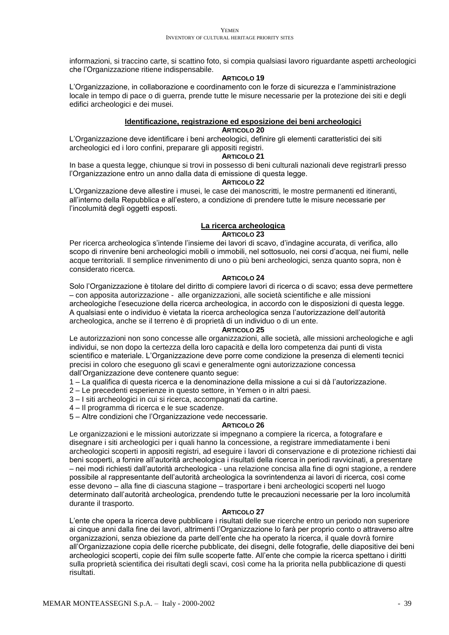informazioni, si traccino carte, si scattino foto, si compia qualsiasi lavoro riguardante aspetti archeologici che l'Organizzazione ritiene indispensabile.

#### **ARTICOLO 19**

L'Organizzazione, in collaborazione e coordinamento con le forze di sicurezza e l'amministrazione locale in tempo di pace o di guerra, prende tutte le misure necessarie per la protezione dei siti e degli edifici archeologici e dei musei.

## **Identificazione, registrazione ed esposizione dei beni archeologici**

#### **ARTICOLO 20**

L'Organizzazione deve identificare i beni archeologici, definire gli elementi caratteristici dei siti archeologici ed i loro confini, preparare gli appositi registri.

#### **ARTICOLO 21**

In base a questa legge, chiunque si trovi in possesso di beni culturali nazionali deve registrarli presso l'Organizzazione entro un anno dalla data di emissione di questa legge.

#### **ARTICOLO 22**

L'Organizzazione deve allestire i musei, le case dei manoscritti, le mostre permanenti ed itineranti, all'interno della Repubblica e all'estero, a condizione di prendere tutte le misure necessarie per l'incolumità degli oggetti esposti.

#### **La ricerca archeologica**

#### **ARTICOLO 23**

Per ricerca archeologica s'intende l'insieme dei lavori di scavo, d'indagine accurata, di verifica, allo scopo di rinvenire beni archeologici mobili o immobili, nel sottosuolo, nei corsi d'acqua, nei fiumi, nelle acque territoriali. Il semplice rinvenimento di uno o più beni archeologici, senza quanto sopra, non è considerato ricerca.

#### **ARTICOLO 24**

Solo l'Organizzazione è titolare del diritto di compiere lavori di ricerca o di scavo; essa deve permettere – con apposita autorizzazione - alle organizzazioni, alle società scientifiche e alle missioni archeologiche l'esecuzione della ricerca archeologica, in accordo con le disposizioni di questa legge. A qualsiasi ente o individuo è vietata la ricerca archeologica senza l'autorizzazione dell'autorità archeologica, anche se il terreno è di proprietà di un individuo o di un ente.

#### **ARTICOLO 25**

Le autorizzazioni non sono concesse alle organizzazioni, alle società, alle missioni archeologiche e agli individui, se non dopo la certezza della loro capacità e della loro competenza dai punti di vista scientifico e materiale. L'Organizzazione deve porre come condizione la presenza di elementi tecnici precisi in coloro che eseguono gli scavi e generalmente ogni autorizzazione concessa dall'Organizzazione deve contenere quanto segue:

- 1 La qualifica di questa ricerca e la denominazione della missione a cui si dà l'autorizzazione.
- 2 Le precedenti esperienze in questo settore, in Yemen o in altri paesi.
- 3 I siti archeologici in cui si ricerca, accompagnati da cartine.
- 4 Il programma di ricerca e le sue scadenze.
- 5 Altre condizioni che l'Organizzazione vede neccessarie.

#### **ARTICOLO 26**

Le organizzazioni e le missioni autorizzate si impegnano a compiere la ricerca, a fotografare e disegnare i siti archeologici per i quali hanno la concessione, a registrare immediatamente i beni archeologici scoperti in appositi registri, ad eseguire i lavori di conservazione e di protezione richiesti dai beni scoperti, a fornire all'autorità archeologica i risultati della ricerca in periodi ravvicinati, a presentare – nei modi richiesti dall'autorità archeologica - una relazione concisa alla fine di ogni stagione, a rendere possibile al rappresentante dell'autorità archeologica la sovrintendenza ai lavori di ricerca, così come esse devono – alla fine di ciascuna stagione – trasportare i beni archeologici scoperti nel luogo determinato dall'autorità archeologica, prendendo tutte le precauzioni necessarie per la loro incolumità durante il trasporto.

#### **ARTICOLO 27**

L'ente che opera la ricerca deve pubblicare i risultati delle sue ricerche entro un periodo non superiore ai cinque anni dalla fine dei lavori, altrimenti l'Organizzazione lo farà per proprio conto o attraverso altre organizzazioni, senza obiezione da parte dell'ente che ha operato la ricerca, il quale dovrà fornire all'Organizzazione copia delle ricerche pubblicate, dei disegni, delle fotografie, delle diapositive dei beni archeologici scoperti, copie dei film sulle scoperte fatte. All'ente che compie la ricerca spettano i diritti sulla proprietà scientifica dei risultati degli scavi, così come ha la priorita nella pubblicazione di questi risultati.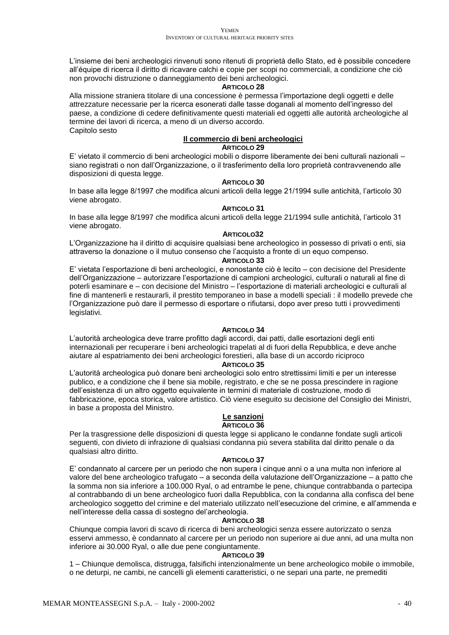L'insieme dei beni archeologici rinvenuti sono ritenuti di proprietà dello Stato, ed è possibile concedere all'équipe di ricerca il diritto di ricavare calchi e copie per scopi no commerciali, a condizione che ciò non provochi distruzione o danneggiamento dei beni archeologici.

#### **ARTICOLO 28**

Alla missione straniera titolare di una concessione è permessa l'importazione degli oggetti e delle attrezzature necessarie per la ricerca esonerati dalle tasse doganali al momento dell'ingresso del paese, a condizione di cedere definitivamente questi materiali ed oggetti alle autorità archeologiche al termine dei lavori di ricerca, a meno di un diverso accordo. Capitolo sesto

#### **Il commercio di beni archeologici**

#### **ARTICOLO 29**

E' vietato il commercio di beni archeologici mobili o disporre liberamente dei beni culturali nazionali – siano registrati o non dall'Organizzazione, o il trasferimento della loro proprietà contravvenendo alle disposizioni di questa legge.

### **ARTICOLO 30**

In base alla legge 8/1997 che modifica alcuni articoli della legge 21/1994 sulle antichità, l'articolo 30 viene abrogato.

#### **ARTICOLO 31**

In base alla legge 8/1997 che modifica alcuni articoli della legge 21/1994 sulle antichità, l'articolo 31 viene abrogato.

#### **ARTICOLO32**

L'Organizzazione ha il diritto di acquisire qualsiasi bene archeologico in possesso di privati o enti, sia attraverso la donazione o il mutuo consenso che l'acquisto a fronte di un equo compenso.

## **ARTICOLO 33**

E' vietata l'esportazione di beni archeologici, e nonostante ciò è lecito – con decisione del Presidente dell'Organizzazione – autorizzare l'esportazione di campioni archeologici, culturali o naturali al fine di poterli esaminare e – con decisione del Ministro – l'esportazione di materiali archeologici e culturali al fine di mantenerli e restaurarli, il prestito temporaneo in base a modelli speciali : il modello prevede che l'Organizzazione può dare il permesso di esportare o rifiutarsi, dopo aver preso tutti i provvedimenti legislativi.

#### **ARTICOLO 34**

L'autorità archeologica deve trarre profitto dagli accordi, dai patti, dalle esortazioni degli enti internazionali per recuperare i beni archeologici trapelati al di fuori della Repubblica, e deve anche aiutare al espatriamento dei beni archeologici forestieri, alla base di un accordo riciproco

#### **ARTICOLO 35**

L'autorità archeologica può donare beni archeologici solo entro strettissimi limiti e per un interesse publico, e a condizione che il bene sia mobile, registrato, e che se ne possa prescindere in ragione dell'esistenza di un altro oggetto equivalente in termini di materiale di costruzione, modo di fabbricazione, epoca storica, valore artistico. Ciò viene eseguito su decisione del Consiglio dei Ministri, in base a proposta del Ministro.

## **Le sanzioni**

## **ARTICOLO 36**

Per la trasgressione delle disposizioni di questa legge si applicano le condanne fondate sugli articoli seguenti, con divieto di infrazione di qualsiasi condanna più severa stabilita dal diritto penale o da qualsiasi altro diritto.

#### **ARTICOLO 37**

E' condannato al carcere per un periodo che non supera i cinque anni o a una multa non inferiore al valore del bene archeologico trafugato – a seconda della valutazione dell'Organizzazione – a patto che la somma non sia inferiore a 100.000 Ryal, o ad entrambe le pene, chiunque contrabbanda o partecipa al contrabbando di un bene archeologico fuori dalla Repubblica, con la condanna alla confisca del bene archeologico soggetto del crimine e del materialo utilizzato nell'esecuzione del crimine, e all'ammenda e nell'interesse della cassa di sostegno del'archeologia.

#### **ARTICOLO 38**

Chiunque compia lavori di scavo di ricerca di beni archeologici senza essere autorizzato o senza esservi ammesso, è condannato al carcere per un periodo non superiore ai due anni, ad una multa non inferiore ai 30.000 Ryal, o alle due pene congiuntamente.

#### **ARTICOLO 39**

1 – Chiunque demolisca, distrugga, falsifichi intenzionalmente un bene archeologico mobile o immobile, o ne deturpi, ne cambi, ne cancelli gli elementi caratteristici, o ne separi una parte, ne premediti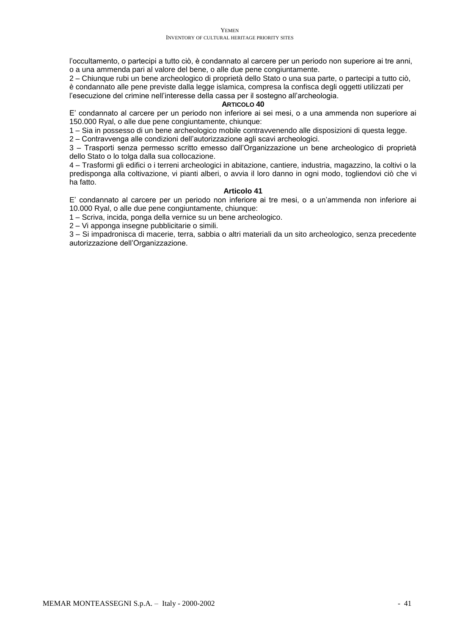l'occultamento, o partecipi a tutto ciò, è condannato al carcere per un periodo non superiore ai tre anni, o a una ammenda pari al valore del bene, o alle due pene congiuntamente.

2 – Chiunque rubi un bene archeologico di proprietà dello Stato o una sua parte, o partecipi a tutto ciò, è condannato alle pene previste dalla legge islamica, compresa la confisca degli oggetti utilizzati per l'esecuzione del crimine nell'interesse della cassa per il sostegno all'archeologia.

#### **ARTICOLO 40**

E' condannato al carcere per un periodo non inferiore ai sei mesi, o a una ammenda non superiore ai 150.000 Ryal, o alle due pene congiuntamente, chiunque:

1 – Sia in possesso di un bene archeologico mobile contravvenendo alle disposizioni di questa legge.

2 – Contravvenga alle condizioni dell'autorizzazione agli scavi archeologici.

3 – Trasporti senza permesso scritto emesso dall'Organizzazione un bene archeologico di proprietà dello Stato o lo tolga dalla sua collocazione.

4 – Trasformi gli edifici o i terreni archeologici in abitazione, cantiere, industria, magazzino, la coltivi o la predisponga alla coltivazione, vi pianti alberi, o avvia il loro danno in ogni modo, togliendovi ciò che vi ha fatto.

#### **Articolo 41**

E' condannato al carcere per un periodo non inferiore ai tre mesi, o a un'ammenda non inferiore ai 10.000 Ryal, o alle due pene congiuntamente, chiunque:

1 – Scriva, incida, ponga della vernice su un bene archeologico.

2 – Vi apponga insegne pubblicitarie o simili.

3 – Si impadronisca di macerie, terra, sabbia o altri materiali da un sito archeologico, senza precedente autorizzazione dell'Organizzazione.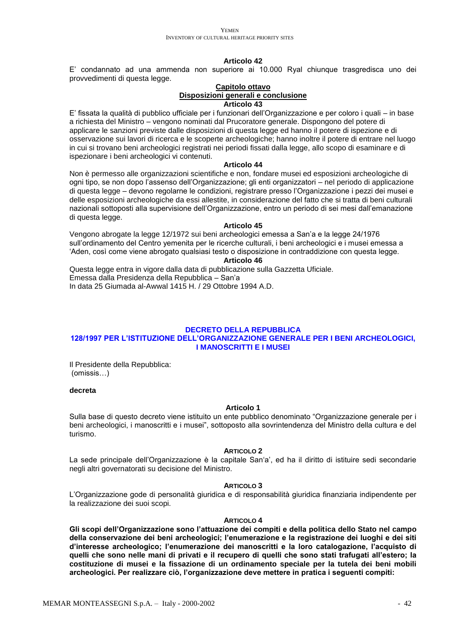#### **Articolo 42**

E' condannato ad una ammenda non superiore ai 10.000 Ryal chiunque trasgredisca uno dei provvedimenti di questa legge.

#### **Capitolo ottavo Disposizioni generali e conclusione Articolo 43**

E' fissata la qualità di pubblico ufficiale per i funzionari dell'Organizzazione e per coloro i quali – in base a richiesta del Ministro – vengono nominati dal Prucoratore generale. Dispongono del potere di applicare le sanzioni previste dalle disposizioni di questa legge ed hanno il potere di ispezione e di osservazione sui lavori di ricerca e le scoperte archeologiche; hanno inoltre il potere di entrare nel luogo in cui si trovano beni archeologici registrati nei periodi fissati dalla legge, allo scopo di esaminare e di ispezionare i beni archeologici vi contenuti.

#### **Articolo 44**

Non è permesso alle organizzazioni scientifiche e non, fondare musei ed esposizioni archeologiche di ogni tipo, se non dopo l'assenso dell'Organizzazione; gli enti organizzatori – nel periodo di applicazione di questa legge – devono regolarne le condizioni, registrare presso l'Organizzazione i pezzi dei musei e delle esposizioni archeologiche da essi allestite, in considerazione del fatto che si tratta di beni culturali nazionali sottoposti alla supervisione dell'Organizzazione, entro un periodo di sei mesi dall'emanazione di questa legge.

#### **Articolo 45**

Vengono abrogate la legge 12/1972 sui beni archeologici emessa a San'a e la legge 24/1976 sull'ordinamento del Centro yemenita per le ricerche culturali, i beni archeologici e i musei emessa a 'Aden, così come viene abrogato qualsiasi testo o disposizione in contraddizione con questa legge.

#### **Articolo 46**

Questa legge entra in vigore dalla data di pubblicazione sulla Gazzetta Uficiale. Emessa dalla Presidenza della Repubblica – San'a In data 25 Giumada al-Awwal 1415 H. / 29 Ottobre 1994 A.D.

#### **DECRETO DELLA REPUBBLICA 128/1997 PER L'ISTITUZIONE DELL'ORGANIZZAZIONE GENERALE PER I BENI ARCHEOLOGICI, I MANOSCRITTI E I MUSEI**

Il Presidente della Repubblica: (omissis…)

#### **decreta**

#### **Articolo 1**

Sulla base di questo decreto viene istituito un ente pubblico denominato "Organizzazione generale per i beni archeologici, i manoscritti e i musei", sottoposto alla sovrintendenza del Ministro della cultura e del turismo.

#### **ARTICOLO 2**

La sede principale dell'Organizzazione è la capitale San'a', ed ha il diritto di istituire sedi secondarie negli altri governatorati su decisione del Ministro.

#### **ARTICOLO 3**

L'Organizzazione gode di personalità giuridica e di responsabilità giuridica finanziaria indipendente per la realizzazione dei suoi scopi.

#### **ARTICOLO 4**

**Gli scopi dell'Organizzazione sono l'attuazione dei compiti e della politica dello Stato nel campo della conservazione dei beni archeologici; l'enumerazione e la registrazione dei luoghi e dei siti d'interesse archeologico; l'enumerazione dei manoscritti e la loro catalogazione, l'acquisto di quelli che sono nelle mani di privati e il recupero di quelli che sono stati trafugati all'estero; la costituzione di musei e la fissazione di un ordinamento speciale per la tutela dei beni mobili archeologici. Per realizzare ciò, l'organizzazione deve mettere in pratica i seguenti compiti:**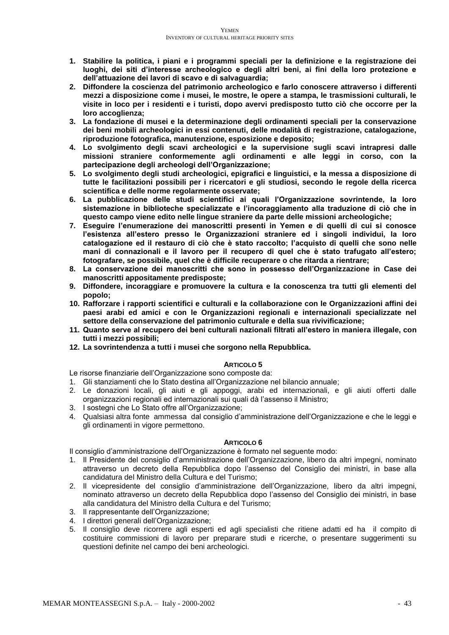- **1. Stabilire la politica, i piani e i programmi speciali per la definizione e la registrazione dei luoghi, dei siti d'interesse archeologico e degli altri beni, ai fini della loro protezione e dell'attuazione dei lavori di scavo e di salvaguardia;**
- **2. Diffondere la coscienza del patrimonio archeologico e farlo conoscere attraverso i differenti mezzi a disposizione come i musei, le mostre, le opere a stampa, le trasmissioni culturali, le visite in loco per i residenti e i turisti, dopo avervi predisposto tutto ciò che occorre per la loro accoglienza;**
- **3. La fondazione di musei e la determinazione degli ordinamenti speciali per la conservazione dei beni mobili archeologici in essi contenuti, delle modalità di registrazione, catalogazione, riproduzione fotografica, manutenzione, esposizione e deposito;**
- **4. Lo svolgimento degli scavi archeologici e la supervisione sugli scavi intrapresi dalle missioni straniere conformemente agli ordinamenti e alle leggi in corso, con la partecipazione degli archeologi dell'Organizzazione;**
- **5. Lo svolgimento degli studi archeologici, epigrafici e linguistici, e la messa a disposizione di tutte le facilitazioni possibili per i ricercatori e gli studiosi, secondo le regole della ricerca scientifica e delle norme regolarmente osservate;**
- **6. La pubblicazione delle studi scientifici ai quali l'Organizzazione sovrintende, la loro sistemazione in biblioteche specializzate e l'incoraggiamento alla traduzione di ciò che in questo campo viene edito nelle lingue straniere da parte delle missioni archeologiche;**
- **7. Eseguire l'enumerazione dei manoscritti presenti in Yemen e di quelli di cui si conosce l'esistenza all'estero presso le Organizzazioni straniere ed i singoli individui, la loro catalogazione ed il restauro di ciò che è stato raccolto; l'acquisto di quelli che sono nelle mani di connazionali e il lavoro per il recupero di quel che è stato trafugato all'estero; fotografare, se possibile, quel che è difficile recuperare o che ritarda a rientrare;**
- **8. La conservazione dei manoscritti che sono in possesso dell'Organizzazione in Case dei manoscritti appositamente predisposte;**
- **9. Diffondere, incoraggiare e promuovere la cultura e la conoscenza tra tutti gli elementi del popolo;**
- **10. Rafforzare i rapporti scientifici e culturali e la collaborazione con le Organizzazioni affini dei paesi arabi ed amici e con le Organizzazioni regionali e internazionali specializzate nel settore della conservazione del patrimonio culturale e della sua rivivificazione;**
- **11. Quanto serve al recupero dei beni culturali nazionali filtrati all'estero in maniera illegale, con tutti i mezzi possibili;**
- **12. La sovrintendenza a tutti i musei che sorgono nella Repubblica.**

#### **ARTICOLO 5**

Le risorse finanziarie dell'Organizzazione sono composte da:

- 1. Gli stanziamenti che lo Stato destina all'Organizzazione nel bilancio annuale;
- 2. Le donazioni locali, gli aiuti e gli appoggi, arabi ed internazionali, e gli aiuti offerti dalle organizzazioni regionali ed internazionali sui quali dà l'assenso il Ministro;
- 3. I sostegni che Lo Stato offre all'Organizzazione;
- 4. Qualsiasi altra fonte ammessa dal consiglio d'amministrazione dell'Organizzazione e che le leggi e gli ordinamenti in vigore permettono.

#### **ARTICOLO 6**

Il consiglio d'amministrazione dell'Organizzazione è formato nel seguente modo:

- 1. Il Presidente del consiglio d'amministrazione dell'Organizzazione, libero da altri impegni, nominato attraverso un decreto della Repubblica dopo l'assenso del Consiglio dei ministri, in base alla candidatura del Ministro della Cultura e del Turismo;
- 2. Il vicepresidente del consiglio d'amministrazione dell'Organizzazione, libero da altri impegni, nominato attraverso un decreto della Repubblica dopo l'assenso del Consiglio dei ministri, in base alla candidatura del Ministro della Cultura e del Turismo;
- 3. Il rappresentante dell'Organizzazione;
- 4. I direttori generali dell'Organizzazione:
- 5. Il consiglio deve ricorrere agli esperti ed agli specialisti che ritiene adatti ed ha il compito di costituire commissioni di lavoro per preparare studi e ricerche, o presentare suggerimenti su questioni definite nel campo dei beni archeologici.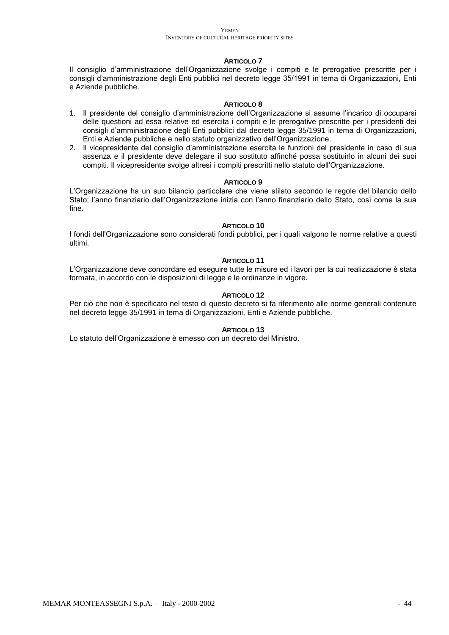#### **ARTICOLO 7**

Il consiglio d'amministrazione dell'Organizzazione svolge i compiti e le prerogative prescritte per i consigli d'amministrazione degli Enti pubblici nel decreto legge 35/1991 in tema di Organizzazioni, Enti e Aziende pubbliche.

#### **ARTICOLO 8**

- 1. Il presidente del consiglio d'amministrazione dell'Organizzazione si assume l'incarico di occuparsi delle questioni ad essa relative ed esercita i compiti e le prerogative prescritte per i presidenti dei consigli d'amministrazione degli Enti pubblici dal decreto legge 35/1991 in tema di Organizzazioni, Enti e Aziende pubbliche e nello statuto organizzativo dell'Organizzazione.
- 2. Il vicepresidente del consiglio d'amministrazione esercita le funzioni del presidente in caso di sua assenza e il presidente deve delegare il suo sostituto affinché possa sostituirlo in alcuni dei suoi compiti. Il vicepresidente svolge altresì i compiti prescritti nello statuto dell'Organizzazione.

#### **ARTICOLO 9**

L'Organizzazione ha un suo bilancio particolare che viene stilato secondo le regole del bilancio dello Stato; l'anno finanziario dell'Organizzazione inizia con l'anno finanziario dello Stato, così come la sua fine.

#### **ARTICOLO 10**

I fondi dell'Organizzazione sono considerati fondi pubblici, per i quali valgono le norme relative a questi ultimi.

#### **ARTICOLO 11**

L'Organizzazione deve concordare ed eseguire tutte le misure ed i lavori per la cui realizzazione è stata formata, in accordo con le disposizioni di legge e le ordinanze in vigore.

#### **ARTICOLO 12**

Per ciò che non è specificato nel testo di questo decreto si fa riferimento alle norme generali contenute nel decreto legge 35/1991 in tema di Organizzazioni, Enti e Aziende pubbliche.

#### **ARTICOLO 13**

Lo statuto dell'Organizzazione è emesso con un decreto del Ministro.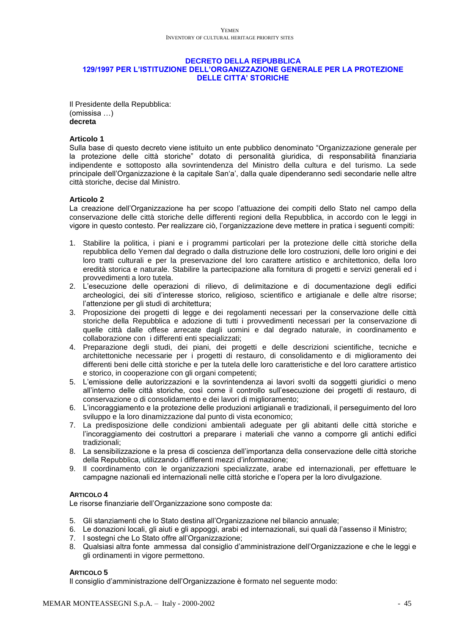#### **DECRETO DELLA REPUBBLICA 129/1997 PER L'ISTITUZIONE DELL'ORGANIZZAZIONE GENERALE PER LA PROTEZIONE DELLE CITTA' STORICHE**

Il Presidente della Repubblica: (omissisa …) **decreta**

#### **Articolo 1**

Sulla base di questo decreto viene istituito un ente pubblico denominato "Organizzazione generale per la protezione delle città storiche" dotato di personalità giuridica, di responsabilità finanziaria indipendente e sottoposto alla sovrintendenza del Ministro della cultura e del turismo. La sede principale dell'Organizzazione è la capitale San'a', dalla quale dipenderanno sedi secondarie nelle altre città storiche, decise dal Ministro.

#### **Articolo 2**

La creazione dell'Organizzazione ha per scopo l'attuazione dei compiti dello Stato nel campo della conservazione delle città storiche delle differenti regioni della Repubblica, in accordo con le leggi in vigore in questo contesto. Per realizzare ciò, l'organizzazione deve mettere in pratica i seguenti compiti:

- 1. Stabilire la politica, i piani e i programmi particolari per la protezione delle città storiche della repubblica dello Yemen dal degrado o dalla distruzione delle loro costruzioni, delle loro origini e dei loro tratti culturali e per la preservazione del loro carattere artistico e architettonico, della loro eredità storica e naturale. Stabilire la partecipazione alla fornitura di progetti e servizi generali ed i provvedimenti a loro tutela.
- 2. L'esecuzione delle operazioni di rilievo, di delimitazione e di documentazione degli edifici archeologici, dei siti d'interesse storico, religioso, scientifico e artigianale e delle altre risorse; l'attenzione per gli studi di architettura;
- 3. Proposizione dei progetti di legge e dei regolamenti necessari per la conservazione delle città storiche della Repubblica e adozione di tutti i provvedimenti necessari per la conservazione di quelle città dalle offese arrecate dagli uomini e dal degrado naturale, in coordinamento e collaborazione con i differenti enti specializzati;
- 4. Preparazione degli studi, dei piani, dei progetti e delle descrizioni scientifiche, tecniche e architettoniche necessarie per i progetti di restauro, di consolidamento e di miglioramento dei differenti beni delle città storiche e per la tutela delle loro caratteristiche e del loro carattere artistico e storico, in cooperazione con gli organi competenti;
- 5. L'emissione delle autorizzazioni e la sovrintendenza ai lavori svolti da soggetti giuridici o meno all'interno delle città storiche, così come il controllo sull'esecuzione dei progetti di restauro, di conservazione o di consolidamento e dei lavori di miglioramento;
- 6. L'incoraggiamento e la protezione delle produzioni artigianali e tradizionali, il perseguimento del loro sviluppo e la loro dinamizzazione dal punto di vista economico;
- 7. La predisposizione delle condizioni ambientali adeguate per gli abitanti delle città storiche e l'incoraggiamento dei costruttori a preparare i materiali che vanno a comporre gli antichi edifici tradizionali;
- 8. La sensibilizzazione e la presa di coscienza dell'importanza della conservazione delle città storiche della Repubblica, utilizzando i differenti mezzi d'informazione;
- 9. Il coordinamento con le organizzazioni specializzate, arabe ed internazionali, per effettuare le campagne nazionali ed internazionali nelle città storiche e l'opera per la loro divulgazione.

#### **ARTICOLO 4**

Le risorse finanziarie dell'Organizzazione sono composte da:

- 5. Gli stanziamenti che lo Stato destina all'Organizzazione nel bilancio annuale;
- 6. Le donazioni locali, gli aiuti e gli appoggi, arabi ed internazionali, sui quali dà l'assenso il Ministro;
- 7. I sostegni che Lo Stato offre all'Organizzazione;
- 8. Qualsiasi altra fonte ammessa dal consiglio d'amministrazione dell'Organizzazione e che le leggi e gli ordinamenti in vigore permettono.

#### **ARTICOLO 5**

Il consiglio d'amministrazione dell'Organizzazione è formato nel seguente modo: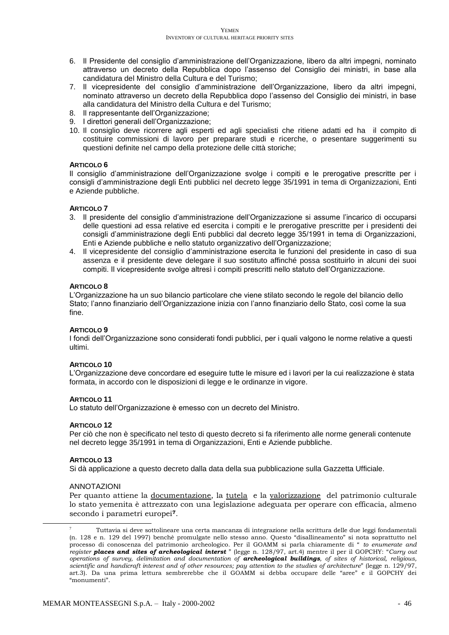- 6. Il Presidente del consiglio d'amministrazione dell'Organizzazione, libero da altri impegni, nominato attraverso un decreto della Repubblica dopo l'assenso del Consiglio dei ministri, in base alla candidatura del Ministro della Cultura e del Turismo;
- 7. Il vicepresidente del consiglio d'amministrazione dell'Organizzazione, libero da altri impegni, nominato attraverso un decreto della Repubblica dopo l'assenso del Consiglio dei ministri, in base alla candidatura del Ministro della Cultura e del Turismo;
- 8. Il rappresentante dell'Organizzazione;
- 9. I direttori generali dell'Organizzazione;
- 10. Il consiglio deve ricorrere agli esperti ed agli specialisti che ritiene adatti ed ha il compito di costituire commissioni di lavoro per preparare studi e ricerche, o presentare suggerimenti su questioni definite nel campo della protezione delle città storiche;

#### **ARTICOLO 6**

Il consiglio d'amministrazione dell'Organizzazione svolge i compiti e le prerogative prescritte per i consigli d'amministrazione degli Enti pubblici nel decreto legge 35/1991 in tema di Organizzazioni, Enti e Aziende pubbliche.

#### **ARTICOLO 7**

- 3. Il presidente del consiglio d'amministrazione dell'Organizzazione si assume l'incarico di occuparsi delle questioni ad essa relative ed esercita i compiti e le prerogative prescritte per i presidenti dei consigli d'amministrazione degli Enti pubblici dal decreto legge 35/1991 in tema di Organizzazioni, Enti e Aziende pubbliche e nello statuto organizzativo dell'Organizzazione;
- 4. Il vicepresidente del consiglio d'amministrazione esercita le funzioni del presidente in caso di sua assenza e il presidente deve delegare il suo sostituto affinché possa sostituirlo in alcuni dei suoi compiti. Il vicepresidente svolge altresì i compiti prescritti nello statuto dell'Organizzazione.

#### **ARTICOLO 8**

L'Organizzazione ha un suo bilancio particolare che viene stilato secondo le regole del bilancio dello Stato; l'anno finanziario dell'Organizzazione inizia con l'anno finanziario dello Stato, così come la sua fine.

#### **ARTICOLO 9**

I fondi dell'Organizzazione sono considerati fondi pubblici, per i quali valgono le norme relative a questi ultimi.

#### **ARTICOLO 10**

L'Organizzazione deve concordare ed eseguire tutte le misure ed i lavori per la cui realizzazione è stata formata, in accordo con le disposizioni di legge e le ordinanze in vigore.

#### **ARTICOLO 11**

Lo statuto dell'Organizzazione è emesso con un decreto del Ministro.

#### **ARTICOLO 12**

Per ciò che non è specificato nel testo di questo decreto si fa riferimento alle norme generali contenute nel decreto legge 35/1991 in tema di Organizzazioni, Enti e Aziende pubbliche.

#### **ARTICOLO 13**

Si dà applicazione a questo decreto dalla data della sua pubblicazione sulla Gazzetta Ufficiale.

#### ANNOTAZIONI

1

Per quanto attiene la documentazione, la tutela e la valorizzazione del patrimonio culturale lo stato yemenita è attrezzato con una legislazione adeguata per operare con efficacia, almeno secondo i parametri europei**7**.

<sup>7</sup> Tuttavia si deve sottolineare una certa mancanza di integrazione nella scrittura delle due leggi fondamentali (n. 128 e n. 129 del 1997) benchè promulgate nello stesso anno. Questo "disallineamento" si nota soprattutto nel processo di conoscenza del patrimonio archeologico. Per il GOAMM si parla chiaramente di " *to enumerate and register places and sites of archeological interst* " (legge n. 128/97, art.4) mentre il per il GOPCHY: "*Carry out operations of survey, delimitation and documentation of archeological buildings, of sites of historical, religious, scientific and handicraft interest and of other resources; pay attention to the studies of architecture*" (legge n. 129/97, art.3). Da una prima lettura sembrerebbe che il GOAMM si debba occupare delle "aree" e il GOPCHY dei "monumenti".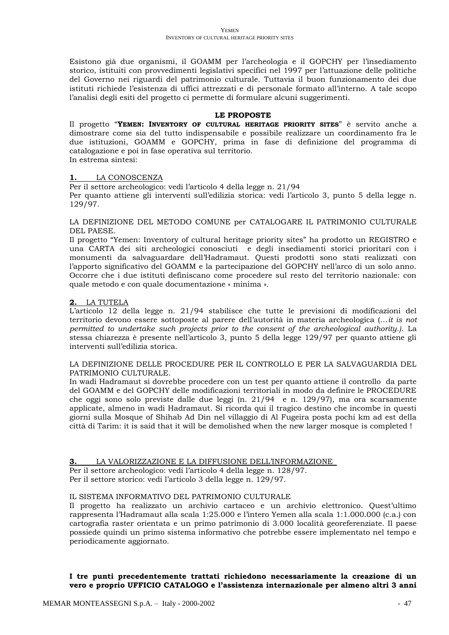Esistono già due organismi, il GOAMM per l'archeologia e il GOPCHY per l'insediamento storico, istituiti con provvedimenti legislativi specifici nel 1997 per l'attuazione delle politiche del Governo nei riguardi del patrimonio culturale. Tuttavia il buon funzionamento dei due istituti richiede l'esistenza di uffici attrezzati e di personale formato all'interno. A tale scopo l'analisi degli esiti del progetto ci permette di formulare alcuni suggerimenti.

#### **LE PROPOSTE**

Il progetto "**YEMEN: INVENTORY OF CULTURAL HERITAGE PRIORITY SITES**" è servito anche a dimostrare come sia del tutto indispensabile e possibile realizzare un coordinamento fra le due istituzioni, GOAMM e GOPCHY, prima in fase di definizione del programma di catalogazione e poi in fase operativa sul territorio. In estrema sintesi:

#### **1.** LA CONOSCENZA

Per il settore archeologico: vedi l'articolo 4 della legge n. 21/94 Per quanto attiene gli interventi sull'edilizia storica: vedi l'articolo 3, punto 5 della legge n. 129/97.

LA DEFINIZIONE DEL METODO COMUNE per CATALOGARE IL PATRIMONIO CULTURALE DEL PAESE.

Il progetto "Yemen: Inventory of cultural heritage priority sites" ha prodotto un REGISTRO e una CARTA dei siti archeologici conosciuti e degli insediamenti storici prioritari con i monumenti da salvaguardare dell'Hadramaut. Questi prodotti sono stati realizzati con l'apporto significativo del GOAMM e la partecipazione del GOPCHY nell'arco di un solo anno. Occorre che i due istituti definiscano come procedere sul resto del territorio nazionale: con quale metodo e con quale documentazione « minima ».

#### **2.** LA TUTELA

L'articolo 12 della legge n. 21/94 stabilisce che tutte le previsioni di modificazioni del territorio devono essere sottoposte al parere dell'autorità in materia archeologica (…*it is not permitted to undertake such projects prior to the consent of the archeological authority.)*. La stessa chiarezza è presente nell'articolo 3, punto 5 della legge 129/97 per quanto attiene gli interventi sull'edilizia storica.

LA DEFINIZIONE DELLE PROCEDURE PER IL CONTROLLO E PER LA SALVAGUARDIA DEL PATRIMONIO CULTURALE.

In wadi Hadramaut si dovrebbe procedere con un test per quanto attiene il controllo da parte del GOAMM e del GOPCHY delle modificazioni territoriali in modo da definire le PROCEDURE che oggi sono solo previste dalle due leggi (n. 21/94 e n. 129/97), ma ora scarsamente applicate, almeno in wadi Hadramaut. Si ricorda qui il tragico destino che incombe in questi giorni sulla Mosque of Shihab Ad Din nel villaggio di Al Fugeira posta pochi km ad est della città di Tarim: it is said that it will be demolished when the new larger mosque is completed !

**3.** LA VALORIZZAZIONE E LA DIFFUSIONE DELL'INFORMAZIONE Per il settore archeologico: vedi l'articolo 4 della legge n. 128/97. Per il settore storico: vedi l'articolo 3 della legge n. 129/97.

#### IL SISTEMA INFORMATIVO DEL PATRIMONIO CULTURALE

Il progetto ha realizzato un archivio cartaceo e un archivio elettronico. Quest'ultimo rappresenta l'Hadramaut alla scala 1:25.000 e l'intero Yemen alla scala 1:1.000.000 (c.a.) con cartografia raster orientata e un primo patrimonio di 3.000 località georeferenziate. Il paese possiede quindi un primo sistema informativo che potrebbe essere implementato nel tempo e periodicamente aggiornato.

**I tre punti precedentemente trattati richiedono necessariamente la creazione di un vero e proprio UFFICIO CATALOGO e l'assistenza internazionale per almeno altri 3 anni**